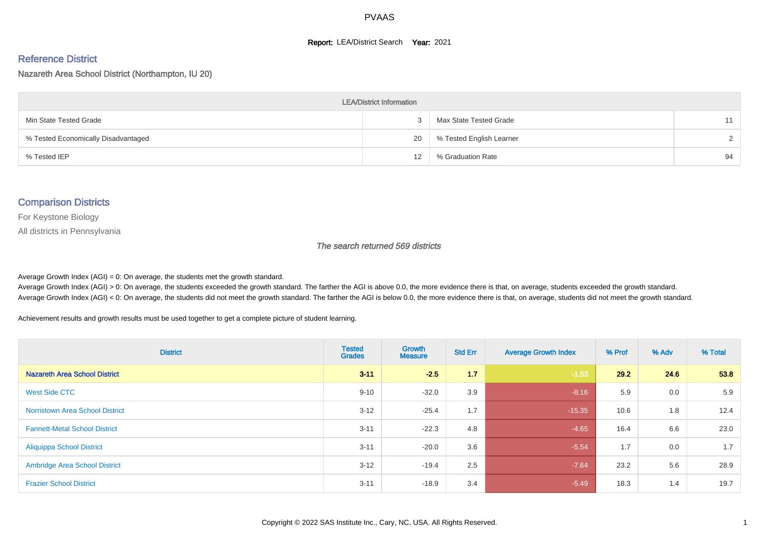#### **Report: LEA/District Search Year: 2021**

#### Reference District

Nazareth Area School District (Northampton, IU 20)

| <b>LEA/District Information</b>     |    |                          |               |  |  |  |  |  |  |  |
|-------------------------------------|----|--------------------------|---------------|--|--|--|--|--|--|--|
| Min State Tested Grade              |    | Max State Tested Grade   | 11            |  |  |  |  |  |  |  |
| % Tested Economically Disadvantaged | 20 | % Tested English Learner | $\mathcal{D}$ |  |  |  |  |  |  |  |
| % Tested IEP                        | 12 | % Graduation Rate        | 94            |  |  |  |  |  |  |  |

#### Comparison Districts

For Keystone Biology

All districts in Pennsylvania

The search returned 569 districts

Average Growth Index  $(AGI) = 0$ : On average, the students met the growth standard.

Average Growth Index (AGI) > 0: On average, the students exceeded the growth standard. The farther the AGI is above 0.0, the more evidence there is that, on average, students exceeded the growth standard. Average Growth Index (AGI) < 0: On average, the students did not meet the growth standard. The farther the AGI is below 0.0, the more evidence there is that, on average, students did not meet the growth standard.

Achievement results and growth results must be used together to get a complete picture of student learning.

| <b>District</b>                        | <b>Tested</b><br><b>Grades</b> | <b>Growth</b><br><b>Measure</b> | <b>Std Err</b> | <b>Average Growth Index</b> | % Prof | % Adv | % Total |
|----------------------------------------|--------------------------------|---------------------------------|----------------|-----------------------------|--------|-------|---------|
| <b>Nazareth Area School District</b>   | $3 - 11$                       | $-2.5$                          | 1.7            | $-1.53$                     | 29.2   | 24.6  | 53.8    |
| <b>West Side CTC</b>                   | $9 - 10$                       | $-32.0$                         | 3.9            | $-8.16$                     | 5.9    | 0.0   | 5.9     |
| <b>Norristown Area School District</b> | $3 - 12$                       | $-25.4$                         | 1.7            | $-15.35$                    | 10.6   | 1.8   | 12.4    |
| <b>Fannett-Metal School District</b>   | $3 - 11$                       | $-22.3$                         | 4.8            | $-4.65$                     | 16.4   | 6.6   | 23.0    |
| <b>Aliquippa School District</b>       | $3 - 11$                       | $-20.0$                         | 3.6            | $-5.54$                     | 1.7    | 0.0   | 1.7     |
| <b>Ambridge Area School District</b>   | $3 - 12$                       | $-19.4$                         | 2.5            | $-7.64$                     | 23.2   | 5.6   | 28.9    |
| <b>Frazier School District</b>         | $3 - 11$                       | $-18.9$                         | 3.4            | $-5.49$                     | 18.3   | 1.4   | 19.7    |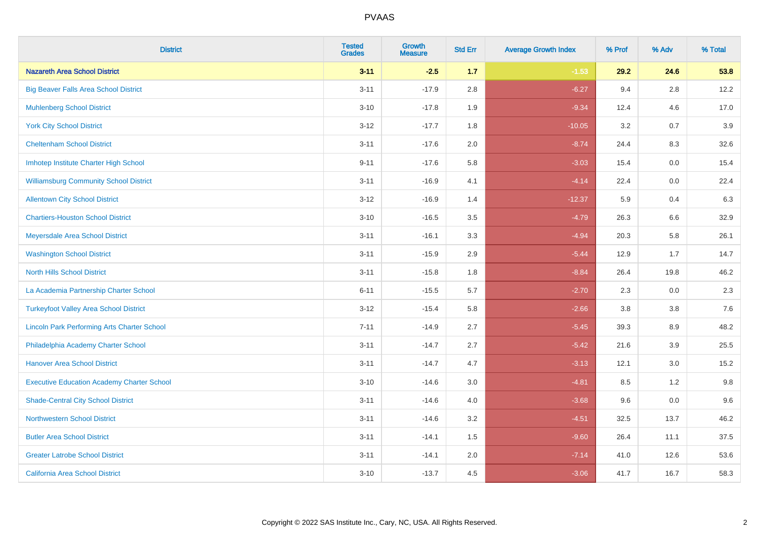| <b>District</b>                                    | <b>Tested</b><br><b>Grades</b> | <b>Growth</b><br><b>Measure</b> | <b>Std Err</b> | <b>Average Growth Index</b> | % Prof | % Adv   | % Total |
|----------------------------------------------------|--------------------------------|---------------------------------|----------------|-----------------------------|--------|---------|---------|
| <b>Nazareth Area School District</b>               | $3 - 11$                       | $-2.5$                          | 1.7            | $-1.53$                     | 29.2   | 24.6    | 53.8    |
| <b>Big Beaver Falls Area School District</b>       | $3 - 11$                       | $-17.9$                         | 2.8            | $-6.27$                     | 9.4    | 2.8     | 12.2    |
| <b>Muhlenberg School District</b>                  | $3 - 10$                       | $-17.8$                         | 1.9            | $-9.34$                     | 12.4   | 4.6     | 17.0    |
| <b>York City School District</b>                   | $3-12$                         | $-17.7$                         | 1.8            | $-10.05$                    | 3.2    | 0.7     | 3.9     |
| <b>Cheltenham School District</b>                  | $3 - 11$                       | $-17.6$                         | 2.0            | $-8.74$                     | 24.4   | 8.3     | 32.6    |
| Imhotep Institute Charter High School              | $9 - 11$                       | $-17.6$                         | 5.8            | $-3.03$                     | 15.4   | 0.0     | 15.4    |
| <b>Williamsburg Community School District</b>      | $3 - 11$                       | $-16.9$                         | 4.1            | $-4.14$                     | 22.4   | $0.0\,$ | 22.4    |
| <b>Allentown City School District</b>              | $3 - 12$                       | $-16.9$                         | 1.4            | $-12.37$                    | 5.9    | 0.4     | 6.3     |
| <b>Chartiers-Houston School District</b>           | $3 - 10$                       | $-16.5$                         | 3.5            | $-4.79$                     | 26.3   | 6.6     | 32.9    |
| Meyersdale Area School District                    | $3 - 11$                       | $-16.1$                         | 3.3            | $-4.94$                     | 20.3   | 5.8     | 26.1    |
| <b>Washington School District</b>                  | $3 - 11$                       | $-15.9$                         | 2.9            | $-5.44$                     | 12.9   | 1.7     | 14.7    |
| <b>North Hills School District</b>                 | $3 - 11$                       | $-15.8$                         | 1.8            | $-8.84$                     | 26.4   | 19.8    | 46.2    |
| La Academia Partnership Charter School             | $6 - 11$                       | $-15.5$                         | 5.7            | $-2.70$                     | 2.3    | 0.0     | 2.3     |
| <b>Turkeyfoot Valley Area School District</b>      | $3 - 12$                       | $-15.4$                         | 5.8            | $-2.66$                     | 3.8    | $3.8\,$ | 7.6     |
| <b>Lincoln Park Performing Arts Charter School</b> | $7 - 11$                       | $-14.9$                         | 2.7            | $-5.45$                     | 39.3   | 8.9     | 48.2    |
| Philadelphia Academy Charter School                | $3 - 11$                       | $-14.7$                         | 2.7            | $-5.42$                     | 21.6   | 3.9     | 25.5    |
| <b>Hanover Area School District</b>                | $3 - 11$                       | $-14.7$                         | 4.7            | $-3.13$                     | 12.1   | 3.0     | 15.2    |
| <b>Executive Education Academy Charter School</b>  | $3 - 10$                       | $-14.6$                         | 3.0            | $-4.81$                     | 8.5    | $1.2$   | 9.8     |
| <b>Shade-Central City School District</b>          | $3 - 11$                       | $-14.6$                         | 4.0            | $-3.68$                     | 9.6    | 0.0     | 9.6     |
| <b>Northwestern School District</b>                | $3 - 11$                       | $-14.6$                         | 3.2            | $-4.51$                     | 32.5   | 13.7    | 46.2    |
| <b>Butler Area School District</b>                 | $3 - 11$                       | $-14.1$                         | 1.5            | $-9.60$                     | 26.4   | 11.1    | 37.5    |
| <b>Greater Latrobe School District</b>             | $3 - 11$                       | $-14.1$                         | 2.0            | $-7.14$                     | 41.0   | 12.6    | 53.6    |
| <b>California Area School District</b>             | $3 - 10$                       | $-13.7$                         | 4.5            | $-3.06$                     | 41.7   | 16.7    | 58.3    |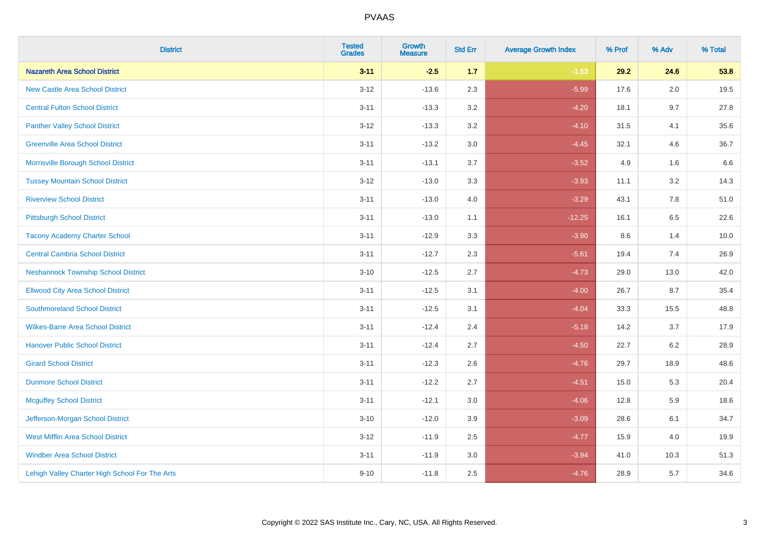| <b>District</b>                                | <b>Tested</b><br><b>Grades</b> | <b>Growth</b><br><b>Measure</b> | <b>Std Err</b> | <b>Average Growth Index</b> | % Prof | % Adv   | % Total |
|------------------------------------------------|--------------------------------|---------------------------------|----------------|-----------------------------|--------|---------|---------|
| <b>Nazareth Area School District</b>           | $3 - 11$                       | $-2.5$                          | 1.7            | $-1.53$                     | 29.2   | 24.6    | 53.8    |
| <b>New Castle Area School District</b>         | $3 - 12$                       | $-13.6$                         | 2.3            | $-5.99$                     | 17.6   | 2.0     | 19.5    |
| <b>Central Fulton School District</b>          | $3 - 11$                       | $-13.3$                         | 3.2            | $-4.20$                     | 18.1   | 9.7     | 27.8    |
| <b>Panther Valley School District</b>          | $3-12$                         | $-13.3$                         | 3.2            | $-4.10$                     | 31.5   | 4.1     | 35.6    |
| <b>Greenville Area School District</b>         | $3 - 11$                       | $-13.2$                         | 3.0            | $-4.45$                     | 32.1   | 4.6     | 36.7    |
| Morrisville Borough School District            | $3 - 11$                       | $-13.1$                         | 3.7            | $-3.52$                     | 4.9    | 1.6     | 6.6     |
| <b>Tussey Mountain School District</b>         | $3 - 12$                       | $-13.0$                         | 3.3            | $-3.93$                     | 11.1   | $3.2\,$ | 14.3    |
| <b>Riverview School District</b>               | $3 - 11$                       | $-13.0$                         | 4.0            | $-3.29$                     | 43.1   | 7.8     | 51.0    |
| <b>Pittsburgh School District</b>              | $3 - 11$                       | $-13.0$                         | 1.1            | $-12.25$                    | 16.1   | 6.5     | 22.6    |
| <b>Tacony Academy Charter School</b>           | $3 - 11$                       | $-12.9$                         | 3.3            | $-3.90$                     | 8.6    | 1.4     | 10.0    |
| <b>Central Cambria School District</b>         | $3 - 11$                       | $-12.7$                         | 2.3            | $-5.61$                     | 19.4   | 7.4     | 26.9    |
| <b>Neshannock Township School District</b>     | $3 - 10$                       | $-12.5$                         | 2.7            | $-4.73$                     | 29.0   | 13.0    | 42.0    |
| <b>Ellwood City Area School District</b>       | $3 - 11$                       | $-12.5$                         | 3.1            | $-4.00$                     | 26.7   | 8.7     | 35.4    |
| <b>Southmoreland School District</b>           | $3 - 11$                       | $-12.5$                         | 3.1            | $-4.04$                     | 33.3   | 15.5    | 48.8    |
| <b>Wilkes-Barre Area School District</b>       | $3 - 11$                       | $-12.4$                         | 2.4            | $-5.18$                     | 14.2   | 3.7     | 17.9    |
| <b>Hanover Public School District</b>          | $3 - 11$                       | $-12.4$                         | 2.7            | $-4.50$                     | 22.7   | 6.2     | 28.9    |
| <b>Girard School District</b>                  | $3 - 11$                       | $-12.3$                         | 2.6            | $-4.76$                     | 29.7   | 18.9    | 48.6    |
| <b>Dunmore School District</b>                 | $3 - 11$                       | $-12.2$                         | 2.7            | $-4.51$                     | 15.0   | 5.3     | 20.4    |
| <b>Mcguffey School District</b>                | $3 - 11$                       | $-12.1$                         | 3.0            | $-4.06$                     | 12.8   | 5.9     | 18.6    |
| Jefferson-Morgan School District               | $3 - 10$                       | $-12.0$                         | 3.9            | $-3.09$                     | 28.6   | 6.1     | 34.7    |
| <b>West Mifflin Area School District</b>       | $3-12$                         | $-11.9$                         | 2.5            | $-4.77$                     | 15.9   | 4.0     | 19.9    |
| <b>Windber Area School District</b>            | $3 - 11$                       | $-11.9$                         | 3.0            | $-3.94$                     | 41.0   | 10.3    | 51.3    |
| Lehigh Valley Charter High School For The Arts | $9 - 10$                       | $-11.8$                         | 2.5            | $-4.76$                     | 28.9   | 5.7     | 34.6    |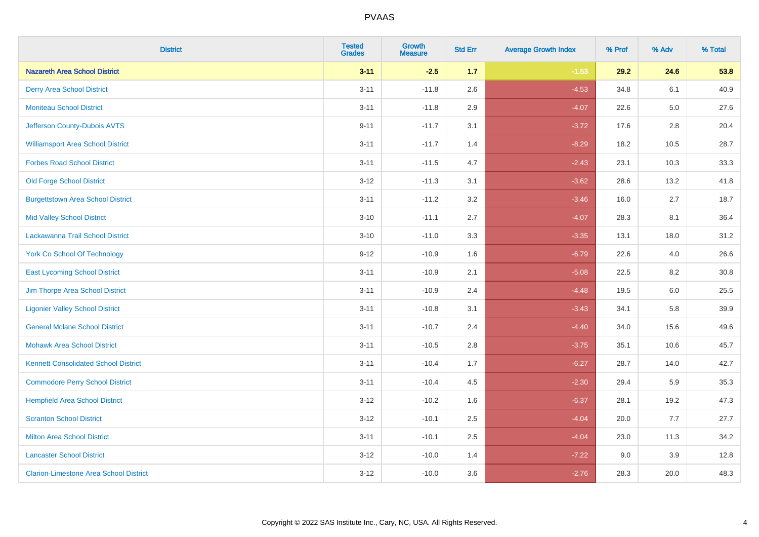| <b>District</b>                               | <b>Tested</b><br><b>Grades</b> | Growth<br><b>Measure</b> | <b>Std Err</b> | <b>Average Growth Index</b> | % Prof | % Adv   | % Total |
|-----------------------------------------------|--------------------------------|--------------------------|----------------|-----------------------------|--------|---------|---------|
| <b>Nazareth Area School District</b>          | $3 - 11$                       | $-2.5$                   | 1.7            | $-1.53$                     | 29.2   | 24.6    | 53.8    |
| <b>Derry Area School District</b>             | $3 - 11$                       | $-11.8$                  | 2.6            | $-4.53$                     | 34.8   | 6.1     | 40.9    |
| <b>Moniteau School District</b>               | $3 - 11$                       | $-11.8$                  | 2.9            | $-4.07$                     | 22.6   | $5.0\,$ | 27.6    |
| Jefferson County-Dubois AVTS                  | $9 - 11$                       | $-11.7$                  | 3.1            | $-3.72$                     | 17.6   | $2.8\,$ | 20.4    |
| <b>Williamsport Area School District</b>      | $3 - 11$                       | $-11.7$                  | 1.4            | $-8.29$                     | 18.2   | 10.5    | 28.7    |
| <b>Forbes Road School District</b>            | $3 - 11$                       | $-11.5$                  | 4.7            | $-2.43$                     | 23.1   | 10.3    | 33.3    |
| <b>Old Forge School District</b>              | $3 - 12$                       | $-11.3$                  | 3.1            | $-3.62$                     | 28.6   | 13.2    | 41.8    |
| <b>Burgettstown Area School District</b>      | $3 - 11$                       | $-11.2$                  | 3.2            | $-3.46$                     | 16.0   | 2.7     | 18.7    |
| <b>Mid Valley School District</b>             | $3 - 10$                       | $-11.1$                  | 2.7            | $-4.07$                     | 28.3   | 8.1     | 36.4    |
| Lackawanna Trail School District              | $3 - 10$                       | $-11.0$                  | 3.3            | $-3.35$                     | 13.1   | 18.0    | 31.2    |
| <b>York Co School Of Technology</b>           | $9 - 12$                       | $-10.9$                  | 1.6            | $-6.79$                     | 22.6   | 4.0     | 26.6    |
| <b>East Lycoming School District</b>          | $3 - 11$                       | $-10.9$                  | 2.1            | $-5.08$                     | 22.5   | 8.2     | 30.8    |
| Jim Thorpe Area School District               | $3 - 11$                       | $-10.9$                  | 2.4            | $-4.48$                     | 19.5   | 6.0     | 25.5    |
| <b>Ligonier Valley School District</b>        | $3 - 11$                       | $-10.8$                  | 3.1            | $-3.43$                     | 34.1   | 5.8     | 39.9    |
| <b>General Mclane School District</b>         | $3 - 11$                       | $-10.7$                  | 2.4            | $-4.40$                     | 34.0   | 15.6    | 49.6    |
| <b>Mohawk Area School District</b>            | $3 - 11$                       | $-10.5$                  | 2.8            | $-3.75$                     | 35.1   | 10.6    | 45.7    |
| <b>Kennett Consolidated School District</b>   | $3 - 11$                       | $-10.4$                  | 1.7            | $-6.27$                     | 28.7   | 14.0    | 42.7    |
| <b>Commodore Perry School District</b>        | $3 - 11$                       | $-10.4$                  | 4.5            | $-2.30$                     | 29.4   | 5.9     | 35.3    |
| <b>Hempfield Area School District</b>         | $3 - 12$                       | $-10.2$                  | 1.6            | $-6.37$                     | 28.1   | 19.2    | 47.3    |
| <b>Scranton School District</b>               | $3 - 12$                       | $-10.1$                  | 2.5            | $-4.04$                     | 20.0   | 7.7     | 27.7    |
| <b>Milton Area School District</b>            | $3 - 11$                       | $-10.1$                  | 2.5            | $-4.04$                     | 23.0   | 11.3    | 34.2    |
| <b>Lancaster School District</b>              | $3 - 12$                       | $-10.0$                  | 1.4            | $-7.22$                     | 9.0    | 3.9     | 12.8    |
| <b>Clarion-Limestone Area School District</b> | $3 - 12$                       | $-10.0$                  | 3.6            | $-2.76$                     | 28.3   | 20.0    | 48.3    |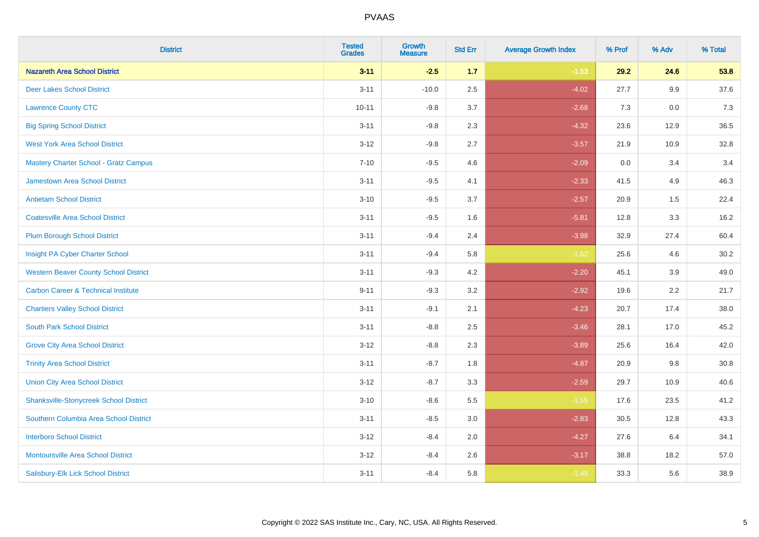| <b>District</b>                                | <b>Tested</b><br><b>Grades</b> | Growth<br><b>Measure</b> | <b>Std Err</b> | <b>Average Growth Index</b> | % Prof | % Adv | % Total |
|------------------------------------------------|--------------------------------|--------------------------|----------------|-----------------------------|--------|-------|---------|
| <b>Nazareth Area School District</b>           | $3 - 11$                       | $-2.5$                   | 1.7            | $-1.53$                     | 29.2   | 24.6  | 53.8    |
| <b>Deer Lakes School District</b>              | $3 - 11$                       | $-10.0$                  | 2.5            | $-4.02$                     | 27.7   | 9.9   | 37.6    |
| <b>Lawrence County CTC</b>                     | $10 - 11$                      | $-9.8$                   | 3.7            | $-2.68$                     | 7.3    | 0.0   | 7.3     |
| <b>Big Spring School District</b>              | $3 - 11$                       | $-9.8$                   | 2.3            | $-4.32$                     | 23.6   | 12.9  | 36.5    |
| <b>West York Area School District</b>          | $3 - 12$                       | $-9.8$                   | 2.7            | $-3.57$                     | 21.9   | 10.9  | 32.8    |
| <b>Mastery Charter School - Gratz Campus</b>   | $7 - 10$                       | $-9.5$                   | 4.6            | $-2.09$                     | 0.0    | 3.4   | 3.4     |
| Jamestown Area School District                 | $3 - 11$                       | $-9.5$                   | 4.1            | $-2.33$                     | 41.5   | 4.9   | 46.3    |
| <b>Antietam School District</b>                | $3 - 10$                       | $-9.5$                   | 3.7            | $-2.57$                     | 20.9   | 1.5   | 22.4    |
| <b>Coatesville Area School District</b>        | $3 - 11$                       | $-9.5$                   | 1.6            | $-5.81$                     | 12.8   | 3.3   | 16.2    |
| <b>Plum Borough School District</b>            | $3 - 11$                       | $-9.4$                   | 2.4            | $-3.98$                     | 32.9   | 27.4  | 60.4    |
| Insight PA Cyber Charter School                | $3 - 11$                       | $-9.4$                   | 5.8            | $-1.62$                     | 25.6   | 4.6   | 30.2    |
| <b>Western Beaver County School District</b>   | $3 - 11$                       | $-9.3$                   | 4.2            | $-2.20$                     | 45.1   | 3.9   | 49.0    |
| <b>Carbon Career &amp; Technical Institute</b> | $9 - 11$                       | $-9.3$                   | 3.2            | $-2.92$                     | 19.6   | 2.2   | 21.7    |
| <b>Chartiers Valley School District</b>        | $3 - 11$                       | $-9.1$                   | 2.1            | $-4.23$                     | 20.7   | 17.4  | 38.0    |
| <b>South Park School District</b>              | $3 - 11$                       | $-8.8$                   | 2.5            | $-3.46$                     | 28.1   | 17.0  | 45.2    |
| <b>Grove City Area School District</b>         | $3 - 12$                       | $-8.8$                   | 2.3            | $-3.89$                     | 25.6   | 16.4  | 42.0    |
| <b>Trinity Area School District</b>            | $3 - 11$                       | $-8.7$                   | 1.8            | $-4.87$                     | 20.9   | 9.8   | 30.8    |
| <b>Union City Area School District</b>         | $3 - 12$                       | $-8.7$                   | 3.3            | $-2.59$                     | 29.7   | 10.9  | 40.6    |
| <b>Shanksville-Stonycreek School District</b>  | $3 - 10$                       | $-8.6$                   | 5.5            | $-1.55$                     | 17.6   | 23.5  | 41.2    |
| Southern Columbia Area School District         | $3 - 11$                       | $-8.5$                   | 3.0            | $-2.83$                     | 30.5   | 12.8  | 43.3    |
| <b>Interboro School District</b>               | $3 - 12$                       | $-8.4$                   | 2.0            | $-4.27$                     | 27.6   | 6.4   | 34.1    |
| <b>Montoursville Area School District</b>      | $3 - 12$                       | $-8.4$                   | 2.6            | $-3.17$                     | 38.8   | 18.2  | 57.0    |
| Salisbury-Elk Lick School District             | $3 - 11$                       | $-8.4$                   | 5.8            | $-1.45$                     | 33.3   | 5.6   | 38.9    |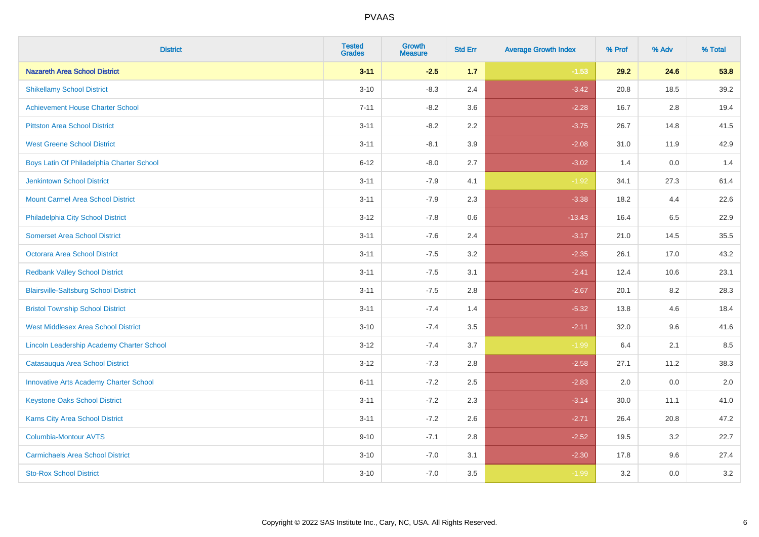| <b>District</b>                               | <b>Tested</b><br><b>Grades</b> | <b>Growth</b><br><b>Measure</b> | <b>Std Err</b> | <b>Average Growth Index</b> | % Prof | % Adv   | % Total |
|-----------------------------------------------|--------------------------------|---------------------------------|----------------|-----------------------------|--------|---------|---------|
| <b>Nazareth Area School District</b>          | $3 - 11$                       | $-2.5$                          | 1.7            | $-1.53$                     | 29.2   | 24.6    | 53.8    |
| <b>Shikellamy School District</b>             | $3 - 10$                       | $-8.3$                          | 2.4            | $-3.42$                     | 20.8   | 18.5    | 39.2    |
| <b>Achievement House Charter School</b>       | $7 - 11$                       | $-8.2$                          | 3.6            | $-2.28$                     | 16.7   | 2.8     | 19.4    |
| <b>Pittston Area School District</b>          | $3 - 11$                       | $-8.2$                          | 2.2            | $-3.75$                     | 26.7   | 14.8    | 41.5    |
| <b>West Greene School District</b>            | $3 - 11$                       | $-8.1$                          | 3.9            | $-2.08$                     | 31.0   | 11.9    | 42.9    |
| Boys Latin Of Philadelphia Charter School     | $6 - 12$                       | $-8.0$                          | 2.7            | $-3.02$                     | 1.4    | 0.0     | 1.4     |
| <b>Jenkintown School District</b>             | $3 - 11$                       | $-7.9$                          | 4.1            | $-1.92$                     | 34.1   | 27.3    | 61.4    |
| <b>Mount Carmel Area School District</b>      | $3 - 11$                       | $-7.9$                          | 2.3            | $-3.38$                     | 18.2   | 4.4     | 22.6    |
| Philadelphia City School District             | $3 - 12$                       | $-7.8$                          | 0.6            | $-13.43$                    | 16.4   | 6.5     | 22.9    |
| <b>Somerset Area School District</b>          | $3 - 11$                       | $-7.6$                          | 2.4            | $-3.17$                     | 21.0   | 14.5    | 35.5    |
| <b>Octorara Area School District</b>          | $3 - 11$                       | $-7.5$                          | 3.2            | $-2.35$                     | 26.1   | 17.0    | 43.2    |
| <b>Redbank Valley School District</b>         | $3 - 11$                       | $-7.5$                          | 3.1            | $-2.41$                     | 12.4   | 10.6    | 23.1    |
| <b>Blairsville-Saltsburg School District</b>  | $3 - 11$                       | $-7.5$                          | 2.8            | $-2.67$                     | 20.1   | $8.2\,$ | 28.3    |
| <b>Bristol Township School District</b>       | $3 - 11$                       | $-7.4$                          | 1.4            | $-5.32$                     | 13.8   | 4.6     | 18.4    |
| <b>West Middlesex Area School District</b>    | $3 - 10$                       | $-7.4$                          | 3.5            | $-2.11$                     | 32.0   | 9.6     | 41.6    |
| Lincoln Leadership Academy Charter School     | $3 - 12$                       | $-7.4$                          | 3.7            | $-1.99$                     | 6.4    | 2.1     | 8.5     |
| Catasauqua Area School District               | $3 - 12$                       | $-7.3$                          | 2.8            | $-2.58$                     | 27.1   | 11.2    | 38.3    |
| <b>Innovative Arts Academy Charter School</b> | $6 - 11$                       | $-7.2$                          | 2.5            | $-2.83$                     | 2.0    | 0.0     | 2.0     |
| <b>Keystone Oaks School District</b>          | $3 - 11$                       | $-7.2$                          | 2.3            | $-3.14$                     | 30.0   | 11.1    | 41.0    |
| Karns City Area School District               | $3 - 11$                       | $-7.2$                          | 2.6            | $-2.71$                     | 26.4   | 20.8    | 47.2    |
| <b>Columbia-Montour AVTS</b>                  | $9 - 10$                       | $-7.1$                          | 2.8            | $-2.52$                     | 19.5   | 3.2     | 22.7    |
| <b>Carmichaels Area School District</b>       | $3 - 10$                       | $-7.0$                          | 3.1            | $-2.30$                     | 17.8   | 9.6     | 27.4    |
| <b>Sto-Rox School District</b>                | $3 - 10$                       | $-7.0$                          | 3.5            | $-1.99$                     | 3.2    | 0.0     | 3.2     |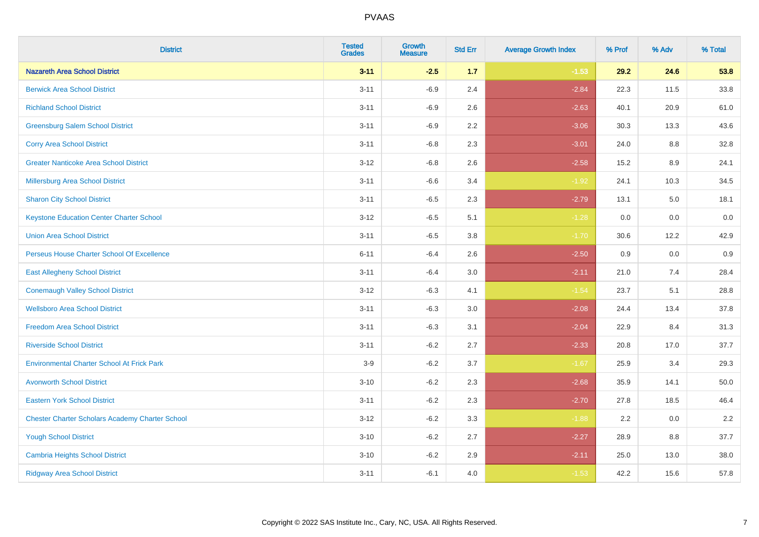| <b>District</b>                                        | <b>Tested</b><br><b>Grades</b> | <b>Growth</b><br><b>Measure</b> | <b>Std Err</b> | <b>Average Growth Index</b> | % Prof | % Adv | % Total |
|--------------------------------------------------------|--------------------------------|---------------------------------|----------------|-----------------------------|--------|-------|---------|
| <b>Nazareth Area School District</b>                   | $3 - 11$                       | $-2.5$                          | 1.7            | $-1.53$                     | 29.2   | 24.6  | 53.8    |
| <b>Berwick Area School District</b>                    | $3 - 11$                       | $-6.9$                          | 2.4            | $-2.84$                     | 22.3   | 11.5  | 33.8    |
| <b>Richland School District</b>                        | $3 - 11$                       | $-6.9$                          | 2.6            | $-2.63$                     | 40.1   | 20.9  | 61.0    |
| <b>Greensburg Salem School District</b>                | $3 - 11$                       | $-6.9$                          | 2.2            | $-3.06$                     | 30.3   | 13.3  | 43.6    |
| <b>Corry Area School District</b>                      | $3 - 11$                       | $-6.8$                          | 2.3            | $-3.01$                     | 24.0   | 8.8   | 32.8    |
| <b>Greater Nanticoke Area School District</b>          | $3 - 12$                       | $-6.8$                          | 2.6            | $-2.58$                     | 15.2   | 8.9   | 24.1    |
| <b>Millersburg Area School District</b>                | $3 - 11$                       | $-6.6$                          | 3.4            | $-1.92$                     | 24.1   | 10.3  | 34.5    |
| <b>Sharon City School District</b>                     | $3 - 11$                       | $-6.5$                          | 2.3            | $-2.79$                     | 13.1   | 5.0   | 18.1    |
| <b>Keystone Education Center Charter School</b>        | $3 - 12$                       | $-6.5$                          | 5.1            | $-1.28$                     | 0.0    | 0.0   | 0.0     |
| <b>Union Area School District</b>                      | $3 - 11$                       | $-6.5$                          | 3.8            | $-1.70$                     | 30.6   | 12.2  | 42.9    |
| Perseus House Charter School Of Excellence             | $6 - 11$                       | $-6.4$                          | 2.6            | $-2.50$                     | 0.9    | 0.0   | 0.9     |
| <b>East Allegheny School District</b>                  | $3 - 11$                       | $-6.4$                          | 3.0            | $-2.11$                     | 21.0   | 7.4   | 28.4    |
| <b>Conemaugh Valley School District</b>                | $3 - 12$                       | $-6.3$                          | 4.1            | $-1.54$                     | 23.7   | 5.1   | 28.8    |
| <b>Wellsboro Area School District</b>                  | $3 - 11$                       | $-6.3$                          | 3.0            | $-2.08$                     | 24.4   | 13.4  | 37.8    |
| <b>Freedom Area School District</b>                    | $3 - 11$                       | $-6.3$                          | 3.1            | $-2.04$                     | 22.9   | 8.4   | 31.3    |
| <b>Riverside School District</b>                       | $3 - 11$                       | $-6.2$                          | 2.7            | $-2.33$                     | 20.8   | 17.0  | 37.7    |
| <b>Environmental Charter School At Frick Park</b>      | $3-9$                          | $-6.2$                          | 3.7            | $-1.67$                     | 25.9   | 3.4   | 29.3    |
| <b>Avonworth School District</b>                       | $3 - 10$                       | $-6.2$                          | 2.3            | $-2.68$                     | 35.9   | 14.1  | 50.0    |
| <b>Eastern York School District</b>                    | $3 - 11$                       | $-6.2$                          | 2.3            | $-2.70$                     | 27.8   | 18.5  | 46.4    |
| <b>Chester Charter Scholars Academy Charter School</b> | $3 - 12$                       | $-6.2$                          | 3.3            | $-1.88$                     | 2.2    | 0.0   | 2.2     |
| <b>Yough School District</b>                           | $3 - 10$                       | $-6.2$                          | 2.7            | $-2.27$                     | 28.9   | 8.8   | 37.7    |
| <b>Cambria Heights School District</b>                 | $3 - 10$                       | $-6.2$                          | 2.9            | $-2.11$                     | 25.0   | 13.0  | 38.0    |
| <b>Ridgway Area School District</b>                    | $3 - 11$                       | $-6.1$                          | 4.0            | $-1.53$                     | 42.2   | 15.6  | 57.8    |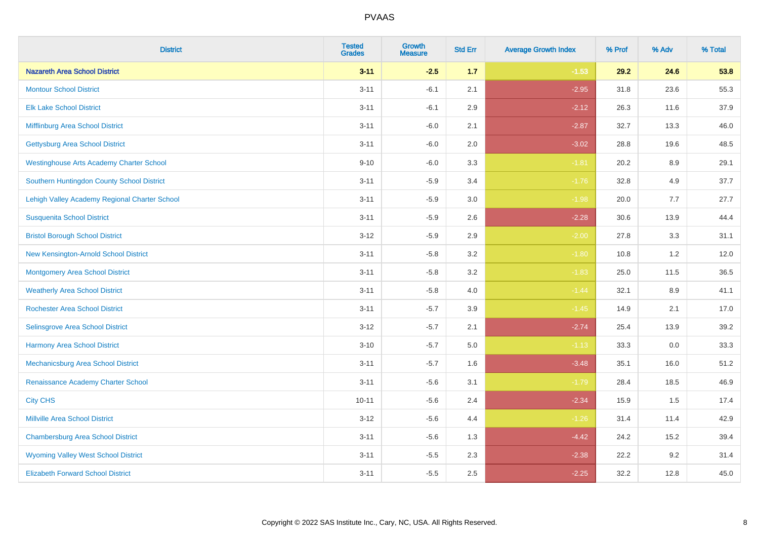| <b>District</b>                                 | <b>Tested</b><br><b>Grades</b> | <b>Growth</b><br><b>Measure</b> | <b>Std Err</b> | <b>Average Growth Index</b> | % Prof | % Adv   | % Total |
|-------------------------------------------------|--------------------------------|---------------------------------|----------------|-----------------------------|--------|---------|---------|
| <b>Nazareth Area School District</b>            | $3 - 11$                       | $-2.5$                          | 1.7            | $-1.53$                     | 29.2   | 24.6    | 53.8    |
| <b>Montour School District</b>                  | $3 - 11$                       | $-6.1$                          | 2.1            | $-2.95$                     | 31.8   | 23.6    | 55.3    |
| <b>Elk Lake School District</b>                 | $3 - 11$                       | $-6.1$                          | 2.9            | $-2.12$                     | 26.3   | 11.6    | 37.9    |
| Mifflinburg Area School District                | $3 - 11$                       | $-6.0$                          | 2.1            | $-2.87$                     | 32.7   | 13.3    | 46.0    |
| <b>Gettysburg Area School District</b>          | $3 - 11$                       | $-6.0$                          | 2.0            | $-3.02$                     | 28.8   | 19.6    | 48.5    |
| <b>Westinghouse Arts Academy Charter School</b> | $9 - 10$                       | $-6.0$                          | 3.3            | $-1.81$                     | 20.2   | $8.9\,$ | 29.1    |
| Southern Huntingdon County School District      | $3 - 11$                       | $-5.9$                          | 3.4            | $-1.76$                     | 32.8   | 4.9     | 37.7    |
| Lehigh Valley Academy Regional Charter School   | $3 - 11$                       | $-5.9$                          | $3.0\,$        | $-1.98$                     | 20.0   | 7.7     | 27.7    |
| <b>Susquenita School District</b>               | $3 - 11$                       | $-5.9$                          | 2.6            | $-2.28$                     | 30.6   | 13.9    | 44.4    |
| <b>Bristol Borough School District</b>          | $3 - 12$                       | $-5.9$                          | 2.9            | $-2.00$                     | 27.8   | 3.3     | 31.1    |
| New Kensington-Arnold School District           | $3 - 11$                       | $-5.8$                          | 3.2            | $-1.80$                     | 10.8   | 1.2     | 12.0    |
| <b>Montgomery Area School District</b>          | $3 - 11$                       | $-5.8$                          | 3.2            | $-1.83$                     | 25.0   | 11.5    | 36.5    |
| <b>Weatherly Area School District</b>           | $3 - 11$                       | $-5.8$                          | $4.0\,$        | $-1.44$                     | 32.1   | 8.9     | 41.1    |
| <b>Rochester Area School District</b>           | $3 - 11$                       | $-5.7$                          | 3.9            | $-1.45$                     | 14.9   | 2.1     | 17.0    |
| Selinsgrove Area School District                | $3 - 12$                       | $-5.7$                          | 2.1            | $-2.74$                     | 25.4   | 13.9    | 39.2    |
| <b>Harmony Area School District</b>             | $3 - 10$                       | $-5.7$                          | 5.0            | $-1.13$                     | 33.3   | $0.0\,$ | 33.3    |
| Mechanicsburg Area School District              | $3 - 11$                       | $-5.7$                          | 1.6            | $-3.48$                     | 35.1   | 16.0    | 51.2    |
| Renaissance Academy Charter School              | $3 - 11$                       | $-5.6$                          | 3.1            | $-1.79$                     | 28.4   | 18.5    | 46.9    |
| <b>City CHS</b>                                 | $10 - 11$                      | $-5.6$                          | 2.4            | $-2.34$                     | 15.9   | 1.5     | 17.4    |
| <b>Millville Area School District</b>           | $3 - 12$                       | $-5.6$                          | 4.4            | $-1.26$                     | 31.4   | 11.4    | 42.9    |
| <b>Chambersburg Area School District</b>        | $3 - 11$                       | $-5.6$                          | 1.3            | $-4.42$                     | 24.2   | 15.2    | 39.4    |
| <b>Wyoming Valley West School District</b>      | $3 - 11$                       | $-5.5$                          | 2.3            | $-2.38$                     | 22.2   | 9.2     | 31.4    |
| <b>Elizabeth Forward School District</b>        | $3 - 11$                       | $-5.5$                          | 2.5            | $-2.25$                     | 32.2   | 12.8    | 45.0    |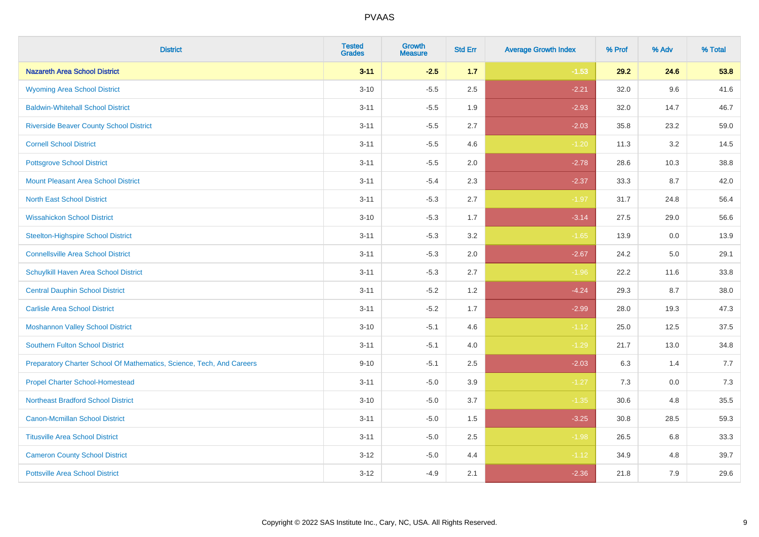| <b>District</b>                                                       | <b>Tested</b><br><b>Grades</b> | Growth<br><b>Measure</b> | <b>Std Err</b> | <b>Average Growth Index</b> | % Prof | % Adv | % Total |
|-----------------------------------------------------------------------|--------------------------------|--------------------------|----------------|-----------------------------|--------|-------|---------|
| <b>Nazareth Area School District</b>                                  | $3 - 11$                       | $-2.5$                   | 1.7            | $-1.53$                     | 29.2   | 24.6  | 53.8    |
| <b>Wyoming Area School District</b>                                   | $3 - 10$                       | $-5.5$                   | 2.5            | $-2.21$                     | 32.0   | 9.6   | 41.6    |
| <b>Baldwin-Whitehall School District</b>                              | $3 - 11$                       | $-5.5$                   | 1.9            | $-2.93$                     | 32.0   | 14.7  | 46.7    |
| <b>Riverside Beaver County School District</b>                        | $3 - 11$                       | $-5.5$                   | 2.7            | $-2.03$                     | 35.8   | 23.2  | 59.0    |
| <b>Cornell School District</b>                                        | $3 - 11$                       | $-5.5$                   | 4.6            | $-1.20$                     | 11.3   | 3.2   | 14.5    |
| <b>Pottsgrove School District</b>                                     | $3 - 11$                       | $-5.5$                   | 2.0            | $-2.78$                     | 28.6   | 10.3  | 38.8    |
| <b>Mount Pleasant Area School District</b>                            | $3 - 11$                       | $-5.4$                   | 2.3            | $-2.37$                     | 33.3   | 8.7   | 42.0    |
| <b>North East School District</b>                                     | $3 - 11$                       | $-5.3$                   | 2.7            | $-1.97$                     | 31.7   | 24.8  | 56.4    |
| <b>Wissahickon School District</b>                                    | $3 - 10$                       | $-5.3$                   | 1.7            | $-3.14$                     | 27.5   | 29.0  | 56.6    |
| <b>Steelton-Highspire School District</b>                             | $3 - 11$                       | $-5.3$                   | 3.2            | $-1.65$                     | 13.9   | 0.0   | 13.9    |
| <b>Connellsville Area School District</b>                             | $3 - 11$                       | $-5.3$                   | 2.0            | $-2.67$                     | 24.2   | 5.0   | 29.1    |
| Schuylkill Haven Area School District                                 | $3 - 11$                       | $-5.3$                   | 2.7            | $-1.96$                     | 22.2   | 11.6  | 33.8    |
| <b>Central Dauphin School District</b>                                | $3 - 11$                       | $-5.2$                   | 1.2            | $-4.24$                     | 29.3   | 8.7   | 38.0    |
| <b>Carlisle Area School District</b>                                  | $3 - 11$                       | $-5.2$                   | 1.7            | $-2.99$                     | 28.0   | 19.3  | 47.3    |
| <b>Moshannon Valley School District</b>                               | $3 - 10$                       | $-5.1$                   | 4.6            | $-1.12$                     | 25.0   | 12.5  | 37.5    |
| <b>Southern Fulton School District</b>                                | $3 - 11$                       | $-5.1$                   | 4.0            | $-1.29$                     | 21.7   | 13.0  | 34.8    |
| Preparatory Charter School Of Mathematics, Science, Tech, And Careers | $9 - 10$                       | $-5.1$                   | 2.5            | $-2.03$                     | 6.3    | 1.4   | 7.7     |
| <b>Propel Charter School-Homestead</b>                                | $3 - 11$                       | $-5.0$                   | 3.9            | $-1.27$                     | 7.3    | 0.0   | 7.3     |
| <b>Northeast Bradford School District</b>                             | $3 - 10$                       | $-5.0$                   | 3.7            | $-1.35$                     | 30.6   | 4.8   | 35.5    |
| <b>Canon-Mcmillan School District</b>                                 | $3 - 11$                       | $-5.0$                   | 1.5            | $-3.25$                     | 30.8   | 28.5  | 59.3    |
| <b>Titusville Area School District</b>                                | $3 - 11$                       | $-5.0$                   | 2.5            | $-1.98$                     | 26.5   | 6.8   | 33.3    |
| <b>Cameron County School District</b>                                 | $3 - 12$                       | $-5.0$                   | 4.4            | $-1.12$                     | 34.9   | 4.8   | 39.7    |
| <b>Pottsville Area School District</b>                                | $3 - 12$                       | $-4.9$                   | 2.1            | $-2.36$                     | 21.8   | 7.9   | 29.6    |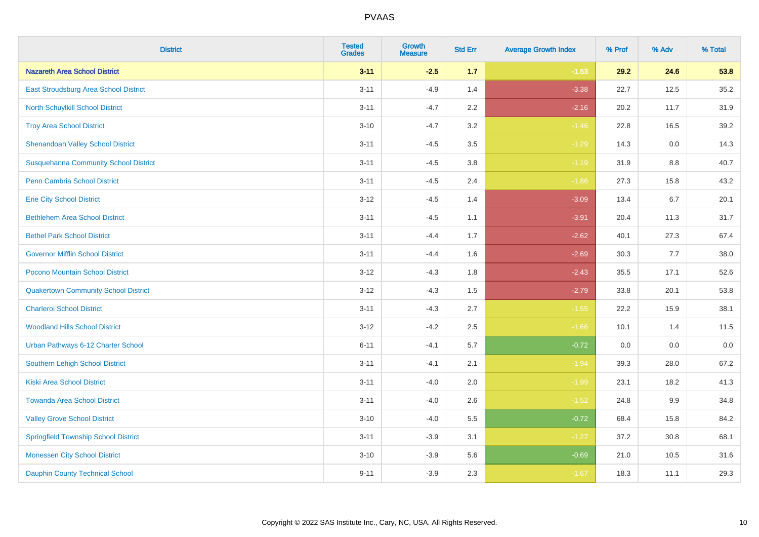| <b>District</b>                              | <b>Tested</b><br><b>Grades</b> | <b>Growth</b><br><b>Measure</b> | <b>Std Err</b> | <b>Average Growth Index</b> | % Prof | % Adv   | % Total |
|----------------------------------------------|--------------------------------|---------------------------------|----------------|-----------------------------|--------|---------|---------|
| <b>Nazareth Area School District</b>         | $3 - 11$                       | $-2.5$                          | $1.7$          | $-1.53$                     | 29.2   | 24.6    | 53.8    |
| East Stroudsburg Area School District        | $3 - 11$                       | $-4.9$                          | 1.4            | $-3.38$                     | 22.7   | 12.5    | 35.2    |
| <b>North Schuylkill School District</b>      | $3 - 11$                       | $-4.7$                          | 2.2            | $-2.16$                     | 20.2   | 11.7    | 31.9    |
| <b>Troy Area School District</b>             | $3 - 10$                       | $-4.7$                          | 3.2            | $-1.46$                     | 22.8   | 16.5    | 39.2    |
| <b>Shenandoah Valley School District</b>     | $3 - 11$                       | $-4.5$                          | 3.5            | $-1.29$                     | 14.3   | 0.0     | 14.3    |
| <b>Susquehanna Community School District</b> | $3 - 11$                       | $-4.5$                          | 3.8            | $-1.19$                     | 31.9   | 8.8     | 40.7    |
| <b>Penn Cambria School District</b>          | $3 - 11$                       | $-4.5$                          | 2.4            | $-1.86$                     | 27.3   | 15.8    | 43.2    |
| <b>Erie City School District</b>             | $3 - 12$                       | $-4.5$                          | 1.4            | $-3.09$                     | 13.4   | 6.7     | 20.1    |
| <b>Bethlehem Area School District</b>        | $3 - 11$                       | $-4.5$                          | 1.1            | $-3.91$                     | 20.4   | 11.3    | 31.7    |
| <b>Bethel Park School District</b>           | $3 - 11$                       | $-4.4$                          | 1.7            | $-2.62$                     | 40.1   | 27.3    | 67.4    |
| <b>Governor Mifflin School District</b>      | $3 - 11$                       | $-4.4$                          | 1.6            | $-2.69$                     | 30.3   | 7.7     | 38.0    |
| Pocono Mountain School District              | $3 - 12$                       | $-4.3$                          | 1.8            | $-2.43$                     | 35.5   | 17.1    | 52.6    |
| <b>Quakertown Community School District</b>  | $3 - 12$                       | $-4.3$                          | $1.5\,$        | $-2.79$                     | 33.8   | 20.1    | 53.8    |
| <b>Charleroi School District</b>             | $3 - 11$                       | $-4.3$                          | 2.7            | $-1.55$                     | 22.2   | 15.9    | 38.1    |
| <b>Woodland Hills School District</b>        | $3 - 12$                       | $-4.2$                          | 2.5            | $-1.66$                     | 10.1   | 1.4     | 11.5    |
| Urban Pathways 6-12 Charter School           | $6 - 11$                       | $-4.1$                          | 5.7            | $-0.72$                     | 0.0    | $0.0\,$ | $0.0\,$ |
| <b>Southern Lehigh School District</b>       | $3 - 11$                       | $-4.1$                          | 2.1            | $-1.94$                     | 39.3   | 28.0    | 67.2    |
| <b>Kiski Area School District</b>            | $3 - 11$                       | $-4.0$                          | 2.0            | $-1.99$                     | 23.1   | 18.2    | 41.3    |
| <b>Towanda Area School District</b>          | $3 - 11$                       | $-4.0$                          | 2.6            | $-1.52$                     | 24.8   | 9.9     | 34.8    |
| <b>Valley Grove School District</b>          | $3 - 10$                       | $-4.0$                          | 5.5            | $-0.72$                     | 68.4   | 15.8    | 84.2    |
| <b>Springfield Township School District</b>  | $3 - 11$                       | $-3.9$                          | 3.1            | $-1.27$                     | 37.2   | 30.8    | 68.1    |
| <b>Monessen City School District</b>         | $3 - 10$                       | $-3.9$                          | 5.6            | $-0.69$                     | 21.0   | 10.5    | 31.6    |
| <b>Dauphin County Technical School</b>       | $9 - 11$                       | $-3.9$                          | 2.3            | $-1.67$                     | 18.3   | 11.1    | 29.3    |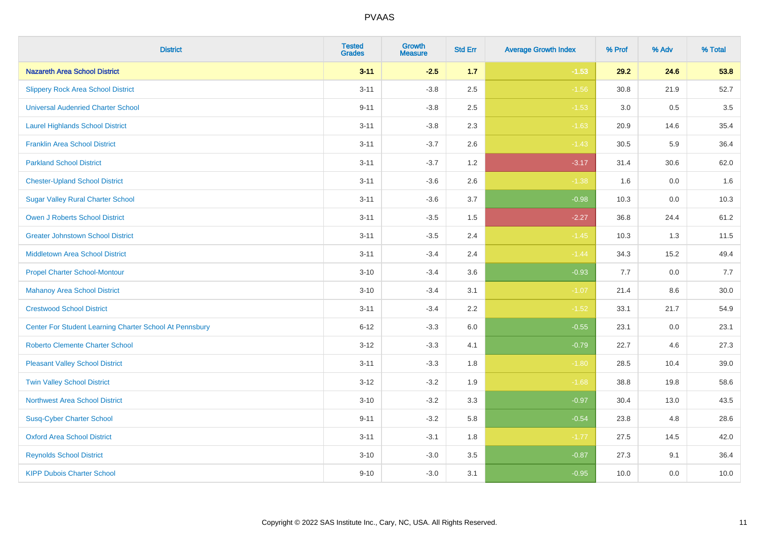| <b>District</b>                                         | <b>Tested</b><br><b>Grades</b> | Growth<br><b>Measure</b> | <b>Std Err</b> | <b>Average Growth Index</b> | % Prof | % Adv   | % Total |
|---------------------------------------------------------|--------------------------------|--------------------------|----------------|-----------------------------|--------|---------|---------|
| <b>Nazareth Area School District</b>                    | $3 - 11$                       | $-2.5$                   | 1.7            | $-1.53$                     | 29.2   | 24.6    | 53.8    |
| <b>Slippery Rock Area School District</b>               | $3 - 11$                       | $-3.8$                   | 2.5            | $-1.56$                     | 30.8   | 21.9    | 52.7    |
| <b>Universal Audenried Charter School</b>               | $9 - 11$                       | $-3.8$                   | 2.5            | $-1.53$                     | 3.0    | 0.5     | 3.5     |
| <b>Laurel Highlands School District</b>                 | $3 - 11$                       | $-3.8$                   | 2.3            | $-1.63$                     | 20.9   | 14.6    | 35.4    |
| <b>Franklin Area School District</b>                    | $3 - 11$                       | $-3.7$                   | 2.6            | $-1.43$                     | 30.5   | 5.9     | 36.4    |
| <b>Parkland School District</b>                         | $3 - 11$                       | $-3.7$                   | 1.2            | $-3.17$                     | 31.4   | 30.6    | 62.0    |
| <b>Chester-Upland School District</b>                   | $3 - 11$                       | $-3.6$                   | 2.6            | $-1.38$                     | 1.6    | $0.0\,$ | 1.6     |
| <b>Sugar Valley Rural Charter School</b>                | $3 - 11$                       | $-3.6$                   | 3.7            | $-0.98$                     | 10.3   | 0.0     | 10.3    |
| <b>Owen J Roberts School District</b>                   | $3 - 11$                       | $-3.5$                   | 1.5            | $-2.27$                     | 36.8   | 24.4    | 61.2    |
| <b>Greater Johnstown School District</b>                | $3 - 11$                       | $-3.5$                   | 2.4            | $-1.45$                     | 10.3   | 1.3     | 11.5    |
| Middletown Area School District                         | $3 - 11$                       | $-3.4$                   | 2.4            | $-1.44$                     | 34.3   | 15.2    | 49.4    |
| <b>Propel Charter School-Montour</b>                    | $3 - 10$                       | $-3.4$                   | 3.6            | $-0.93$                     | 7.7    | 0.0     | 7.7     |
| <b>Mahanoy Area School District</b>                     | $3 - 10$                       | $-3.4$                   | 3.1            | $-1.07$                     | 21.4   | $8.6\,$ | 30.0    |
| <b>Crestwood School District</b>                        | $3 - 11$                       | $-3.4$                   | 2.2            | $-1.52$                     | 33.1   | 21.7    | 54.9    |
| Center For Student Learning Charter School At Pennsbury | $6 - 12$                       | $-3.3$                   | 6.0            | $-0.55$                     | 23.1   | 0.0     | 23.1    |
| <b>Roberto Clemente Charter School</b>                  | $3 - 12$                       | $-3.3$                   | 4.1            | $-0.79$                     | 22.7   | 4.6     | 27.3    |
| <b>Pleasant Valley School District</b>                  | $3 - 11$                       | $-3.3$                   | 1.8            | $-1.80$                     | 28.5   | 10.4    | 39.0    |
| <b>Twin Valley School District</b>                      | $3 - 12$                       | $-3.2$                   | 1.9            | $-1.68$                     | 38.8   | 19.8    | 58.6    |
| <b>Northwest Area School District</b>                   | $3 - 10$                       | $-3.2$                   | 3.3            | $-0.97$                     | 30.4   | 13.0    | 43.5    |
| <b>Susq-Cyber Charter School</b>                        | $9 - 11$                       | $-3.2$                   | 5.8            | $-0.54$                     | 23.8   | 4.8     | 28.6    |
| <b>Oxford Area School District</b>                      | $3 - 11$                       | $-3.1$                   | 1.8            | $-1.77$                     | 27.5   | 14.5    | 42.0    |
| <b>Reynolds School District</b>                         | $3 - 10$                       | $-3.0$                   | 3.5            | $-0.87$                     | 27.3   | 9.1     | 36.4    |
| <b>KIPP Dubois Charter School</b>                       | $9 - 10$                       | $-3.0$                   | 3.1            | $-0.95$                     | 10.0   | 0.0     | 10.0    |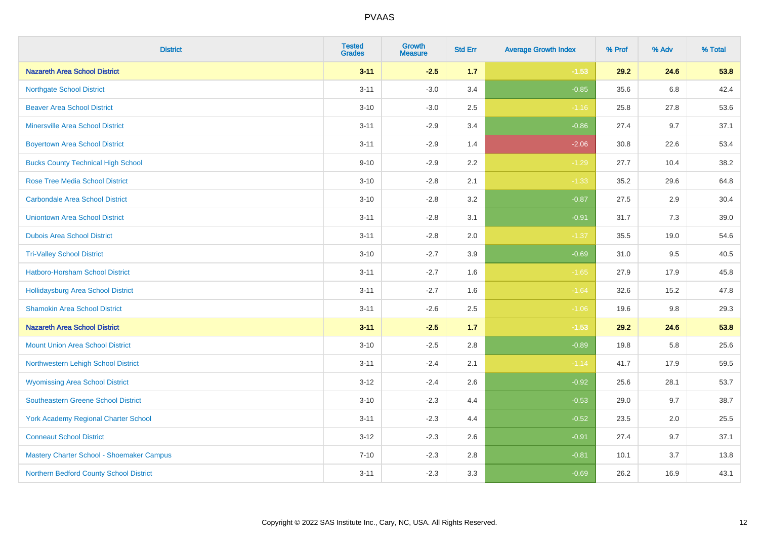| <b>District</b>                             | <b>Tested</b><br><b>Grades</b> | <b>Growth</b><br><b>Measure</b> | <b>Std Err</b> | <b>Average Growth Index</b> | % Prof | % Adv | % Total |
|---------------------------------------------|--------------------------------|---------------------------------|----------------|-----------------------------|--------|-------|---------|
| <b>Nazareth Area School District</b>        | $3 - 11$                       | $-2.5$                          | 1.7            | $-1.53$                     | 29.2   | 24.6  | 53.8    |
| <b>Northgate School District</b>            | $3 - 11$                       | $-3.0$                          | 3.4            | $-0.85$                     | 35.6   | 6.8   | 42.4    |
| <b>Beaver Area School District</b>          | $3 - 10$                       | $-3.0$                          | 2.5            | $-1.16$                     | 25.8   | 27.8  | 53.6    |
| <b>Minersville Area School District</b>     | $3 - 11$                       | $-2.9$                          | 3.4            | $-0.86$                     | 27.4   | 9.7   | 37.1    |
| <b>Boyertown Area School District</b>       | $3 - 11$                       | $-2.9$                          | 1.4            | $-2.06$                     | 30.8   | 22.6  | 53.4    |
| <b>Bucks County Technical High School</b>   | $9 - 10$                       | $-2.9$                          | 2.2            | $-1.29$                     | 27.7   | 10.4  | 38.2    |
| <b>Rose Tree Media School District</b>      | $3 - 10$                       | $-2.8$                          | 2.1            | $-1.33$                     | 35.2   | 29.6  | 64.8    |
| <b>Carbondale Area School District</b>      | $3 - 10$                       | $-2.8$                          | 3.2            | $-0.87$                     | 27.5   | 2.9   | 30.4    |
| <b>Uniontown Area School District</b>       | $3 - 11$                       | $-2.8$                          | 3.1            | $-0.91$                     | 31.7   | 7.3   | 39.0    |
| <b>Dubois Area School District</b>          | $3 - 11$                       | $-2.8$                          | 2.0            | $-1.37$                     | 35.5   | 19.0  | 54.6    |
| <b>Tri-Valley School District</b>           | $3 - 10$                       | $-2.7$                          | 3.9            | $-0.69$                     | 31.0   | 9.5   | 40.5    |
| Hatboro-Horsham School District             | $3 - 11$                       | $-2.7$                          | 1.6            | $-1.65$                     | 27.9   | 17.9  | 45.8    |
| Hollidaysburg Area School District          | $3 - 11$                       | $-2.7$                          | 1.6            | $-1.64$                     | 32.6   | 15.2  | 47.8    |
| <b>Shamokin Area School District</b>        | $3 - 11$                       | $-2.6$                          | 2.5            | $-1.06$                     | 19.6   | 9.8   | 29.3    |
| <b>Nazareth Area School District</b>        | $3 - 11$                       | $-2.5$                          | $1.7$          | $-1.53$                     | 29.2   | 24.6  | 53.8    |
| <b>Mount Union Area School District</b>     | $3 - 10$                       | $-2.5$                          | 2.8            | $-0.89$                     | 19.8   | 5.8   | 25.6    |
| Northwestern Lehigh School District         | $3 - 11$                       | $-2.4$                          | 2.1            | $-1.14$                     | 41.7   | 17.9  | 59.5    |
| <b>Wyomissing Area School District</b>      | $3-12$                         | $-2.4$                          | 2.6            | $-0.92$                     | 25.6   | 28.1  | 53.7    |
| <b>Southeastern Greene School District</b>  | $3 - 10$                       | $-2.3$                          | 4.4            | $-0.53$                     | 29.0   | 9.7   | 38.7    |
| <b>York Academy Regional Charter School</b> | $3 - 11$                       | $-2.3$                          | 4.4            | $-0.52$                     | 23.5   | 2.0   | 25.5    |
| <b>Conneaut School District</b>             | $3 - 12$                       | $-2.3$                          | 2.6            | $-0.91$                     | 27.4   | 9.7   | 37.1    |
| Mastery Charter School - Shoemaker Campus   | $7 - 10$                       | $-2.3$                          | 2.8            | $-0.81$                     | 10.1   | 3.7   | 13.8    |
| Northern Bedford County School District     | $3 - 11$                       | $-2.3$                          | 3.3            | $-0.69$                     | 26.2   | 16.9  | 43.1    |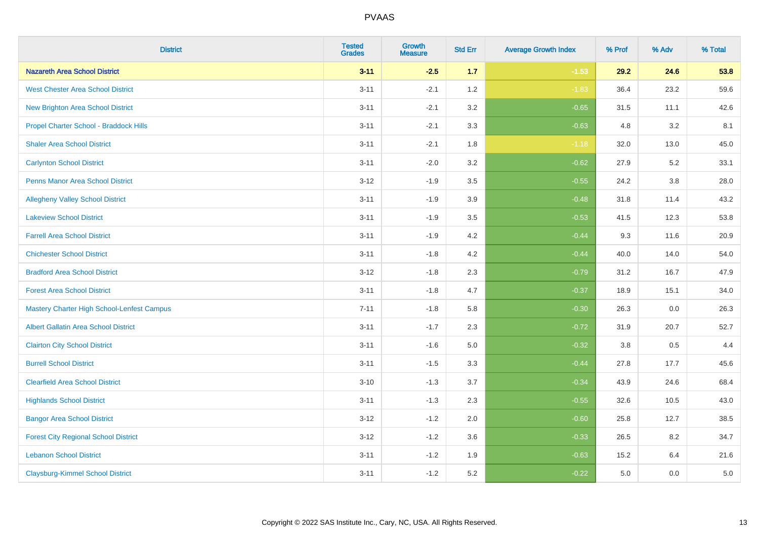| <b>District</b>                                   | <b>Tested</b><br><b>Grades</b> | Growth<br><b>Measure</b> | <b>Std Err</b> | <b>Average Growth Index</b> | % Prof | % Adv   | % Total |
|---------------------------------------------------|--------------------------------|--------------------------|----------------|-----------------------------|--------|---------|---------|
| <b>Nazareth Area School District</b>              | $3 - 11$                       | $-2.5$                   | 1.7            | $-1.53$                     | 29.2   | 24.6    | 53.8    |
| <b>West Chester Area School District</b>          | $3 - 11$                       | $-2.1$                   | 1.2            | $-1.83$                     | 36.4   | 23.2    | 59.6    |
| New Brighton Area School District                 | $3 - 11$                       | $-2.1$                   | 3.2            | $-0.65$                     | 31.5   | 11.1    | 42.6    |
| Propel Charter School - Braddock Hills            | $3 - 11$                       | $-2.1$                   | 3.3            | $-0.63$                     | 4.8    | 3.2     | 8.1     |
| <b>Shaler Area School District</b>                | $3 - 11$                       | $-2.1$                   | 1.8            | $-1.18$                     | 32.0   | 13.0    | 45.0    |
| <b>Carlynton School District</b>                  | $3 - 11$                       | $-2.0$                   | 3.2            | $-0.62$                     | 27.9   | 5.2     | 33.1    |
| <b>Penns Manor Area School District</b>           | $3 - 12$                       | $-1.9$                   | 3.5            | $-0.55$                     | 24.2   | $3.8\,$ | 28.0    |
| <b>Allegheny Valley School District</b>           | $3 - 11$                       | $-1.9$                   | 3.9            | $-0.48$                     | 31.8   | 11.4    | 43.2    |
| <b>Lakeview School District</b>                   | $3 - 11$                       | $-1.9$                   | 3.5            | $-0.53$                     | 41.5   | 12.3    | 53.8    |
| <b>Farrell Area School District</b>               | $3 - 11$                       | $-1.9$                   | 4.2            | $-0.44$                     | 9.3    | 11.6    | 20.9    |
| <b>Chichester School District</b>                 | $3 - 11$                       | $-1.8$                   | 4.2            | $-0.44$                     | 40.0   | 14.0    | 54.0    |
| <b>Bradford Area School District</b>              | $3 - 12$                       | $-1.8$                   | 2.3            | $-0.79$                     | 31.2   | 16.7    | 47.9    |
| <b>Forest Area School District</b>                | $3 - 11$                       | $-1.8$                   | 4.7            | $-0.37$                     | 18.9   | 15.1    | 34.0    |
| <b>Mastery Charter High School-Lenfest Campus</b> | $7 - 11$                       | $-1.8$                   | 5.8            | $-0.30$                     | 26.3   | 0.0     | 26.3    |
| <b>Albert Gallatin Area School District</b>       | $3 - 11$                       | $-1.7$                   | 2.3            | $-0.72$                     | 31.9   | 20.7    | 52.7    |
| <b>Clairton City School District</b>              | $3 - 11$                       | $-1.6$                   | 5.0            | $-0.32$                     | 3.8    | 0.5     | 4.4     |
| <b>Burrell School District</b>                    | $3 - 11$                       | $-1.5$                   | 3.3            | $-0.44$                     | 27.8   | 17.7    | 45.6    |
| <b>Clearfield Area School District</b>            | $3 - 10$                       | $-1.3$                   | 3.7            | $-0.34$                     | 43.9   | 24.6    | 68.4    |
| <b>Highlands School District</b>                  | $3 - 11$                       | $-1.3$                   | 2.3            | $-0.55$                     | 32.6   | 10.5    | 43.0    |
| <b>Bangor Area School District</b>                | $3 - 12$                       | $-1.2$                   | 2.0            | $-0.60$                     | 25.8   | 12.7    | 38.5    |
| <b>Forest City Regional School District</b>       | $3 - 12$                       | $-1.2$                   | 3.6            | $-0.33$                     | 26.5   | 8.2     | 34.7    |
| <b>Lebanon School District</b>                    | $3 - 11$                       | $-1.2$                   | 1.9            | $-0.63$                     | 15.2   | 6.4     | 21.6    |
| <b>Claysburg-Kimmel School District</b>           | $3 - 11$                       | $-1.2$                   | 5.2            | $-0.22$                     | 5.0    | 0.0     | 5.0     |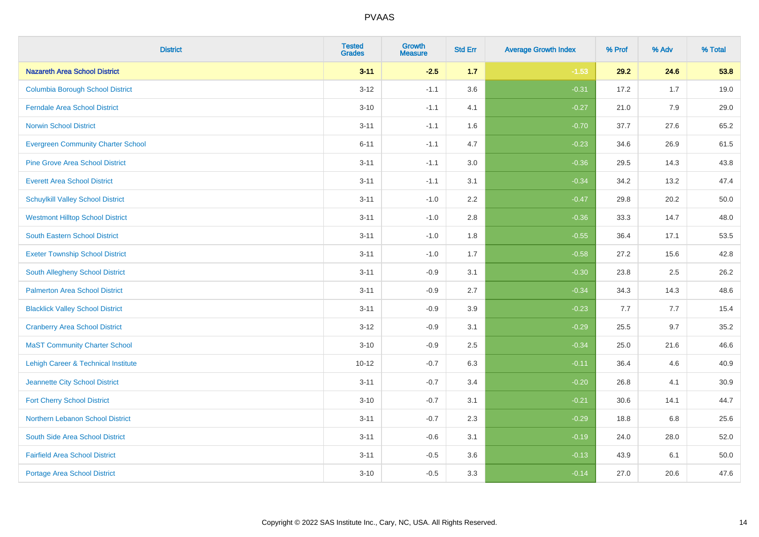| <b>District</b>                           | <b>Tested</b><br><b>Grades</b> | <b>Growth</b><br><b>Measure</b> | <b>Std Err</b> | <b>Average Growth Index</b> | % Prof | % Adv | % Total |
|-------------------------------------------|--------------------------------|---------------------------------|----------------|-----------------------------|--------|-------|---------|
| <b>Nazareth Area School District</b>      | $3 - 11$                       | $-2.5$                          | $1.7$          | $-1.53$                     | 29.2   | 24.6  | 53.8    |
| <b>Columbia Borough School District</b>   | $3 - 12$                       | $-1.1$                          | 3.6            | $-0.31$                     | 17.2   | 1.7   | 19.0    |
| <b>Ferndale Area School District</b>      | $3 - 10$                       | $-1.1$                          | 4.1            | $-0.27$                     | 21.0   | 7.9   | 29.0    |
| <b>Norwin School District</b>             | $3 - 11$                       | $-1.1$                          | 1.6            | $-0.70$                     | 37.7   | 27.6  | 65.2    |
| <b>Evergreen Community Charter School</b> | $6 - 11$                       | $-1.1$                          | 4.7            | $-0.23$                     | 34.6   | 26.9  | 61.5    |
| <b>Pine Grove Area School District</b>    | $3 - 11$                       | $-1.1$                          | 3.0            | $-0.36$                     | 29.5   | 14.3  | 43.8    |
| <b>Everett Area School District</b>       | $3 - 11$                       | $-1.1$                          | 3.1            | $-0.34$                     | 34.2   | 13.2  | 47.4    |
| <b>Schuylkill Valley School District</b>  | $3 - 11$                       | $-1.0$                          | 2.2            | $-0.47$                     | 29.8   | 20.2  | 50.0    |
| <b>Westmont Hilltop School District</b>   | $3 - 11$                       | $-1.0$                          | 2.8            | $-0.36$                     | 33.3   | 14.7  | 48.0    |
| <b>South Eastern School District</b>      | $3 - 11$                       | $-1.0$                          | 1.8            | $-0.55$                     | 36.4   | 17.1  | 53.5    |
| <b>Exeter Township School District</b>    | $3 - 11$                       | $-1.0$                          | 1.7            | $-0.58$                     | 27.2   | 15.6  | 42.8    |
| South Allegheny School District           | $3 - 11$                       | $-0.9$                          | 3.1            | $-0.30$                     | 23.8   | 2.5   | 26.2    |
| <b>Palmerton Area School District</b>     | $3 - 11$                       | $-0.9$                          | 2.7            | $-0.34$                     | 34.3   | 14.3  | 48.6    |
| <b>Blacklick Valley School District</b>   | $3 - 11$                       | $-0.9$                          | 3.9            | $-0.23$                     | 7.7    | $7.7$ | 15.4    |
| <b>Cranberry Area School District</b>     | $3-12$                         | $-0.9$                          | 3.1            | $-0.29$                     | 25.5   | 9.7   | 35.2    |
| <b>MaST Community Charter School</b>      | $3 - 10$                       | $-0.9$                          | 2.5            | $-0.34$                     | 25.0   | 21.6  | 46.6    |
| Lehigh Career & Technical Institute       | $10 - 12$                      | $-0.7$                          | 6.3            | $-0.11$                     | 36.4   | 4.6   | 40.9    |
| Jeannette City School District            | $3 - 11$                       | $-0.7$                          | 3.4            | $-0.20$                     | 26.8   | 4.1   | 30.9    |
| <b>Fort Cherry School District</b>        | $3 - 10$                       | $-0.7$                          | 3.1            | $-0.21$                     | 30.6   | 14.1  | 44.7    |
| Northern Lebanon School District          | $3 - 11$                       | $-0.7$                          | 2.3            | $-0.29$                     | 18.8   | 6.8   | 25.6    |
| South Side Area School District           | $3 - 11$                       | $-0.6$                          | 3.1            | $-0.19$                     | 24.0   | 28.0  | 52.0    |
| <b>Fairfield Area School District</b>     | $3 - 11$                       | $-0.5$                          | 3.6            | $-0.13$                     | 43.9   | 6.1   | 50.0    |
| Portage Area School District              | $3 - 10$                       | $-0.5$                          | 3.3            | $-0.14$                     | 27.0   | 20.6  | 47.6    |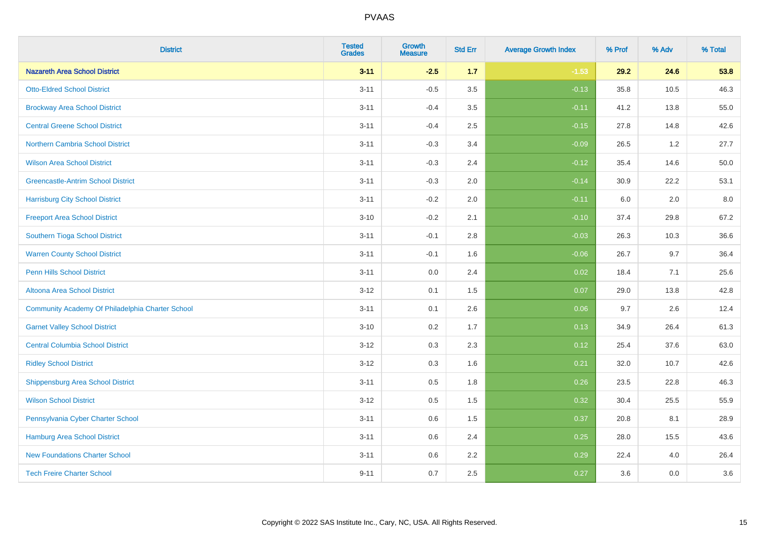| <b>District</b>                                  | <b>Tested</b><br><b>Grades</b> | <b>Growth</b><br><b>Measure</b> | <b>Std Err</b> | <b>Average Growth Index</b> | % Prof | % Adv | % Total |
|--------------------------------------------------|--------------------------------|---------------------------------|----------------|-----------------------------|--------|-------|---------|
| <b>Nazareth Area School District</b>             | $3 - 11$                       | $-2.5$                          | 1.7            | $-1.53$                     | 29.2   | 24.6  | 53.8    |
| <b>Otto-Eldred School District</b>               | $3 - 11$                       | $-0.5$                          | 3.5            | $-0.13$                     | 35.8   | 10.5  | 46.3    |
| <b>Brockway Area School District</b>             | $3 - 11$                       | $-0.4$                          | 3.5            | $-0.11$                     | 41.2   | 13.8  | 55.0    |
| <b>Central Greene School District</b>            | $3 - 11$                       | $-0.4$                          | 2.5            | $-0.15$                     | 27.8   | 14.8  | 42.6    |
| Northern Cambria School District                 | $3 - 11$                       | $-0.3$                          | 3.4            | $-0.09$                     | 26.5   | 1.2   | 27.7    |
| <b>Wilson Area School District</b>               | $3 - 11$                       | $-0.3$                          | 2.4            | $-0.12$                     | 35.4   | 14.6  | 50.0    |
| <b>Greencastle-Antrim School District</b>        | $3 - 11$                       | $-0.3$                          | 2.0            | $-0.14$                     | 30.9   | 22.2  | 53.1    |
| <b>Harrisburg City School District</b>           | $3 - 11$                       | $-0.2$                          | 2.0            | $-0.11$                     | 6.0    | 2.0   | 8.0     |
| <b>Freeport Area School District</b>             | $3 - 10$                       | $-0.2$                          | 2.1            | $-0.10$                     | 37.4   | 29.8  | 67.2    |
| Southern Tioga School District                   | $3 - 11$                       | $-0.1$                          | 2.8            | $-0.03$                     | 26.3   | 10.3  | 36.6    |
| <b>Warren County School District</b>             | $3 - 11$                       | $-0.1$                          | 1.6            | $-0.06$                     | 26.7   | 9.7   | 36.4    |
| <b>Penn Hills School District</b>                | $3 - 11$                       | 0.0                             | 2.4            | 0.02                        | 18.4   | 7.1   | 25.6    |
| Altoona Area School District                     | $3 - 12$                       | 0.1                             | 1.5            | 0.07                        | 29.0   | 13.8  | 42.8    |
| Community Academy Of Philadelphia Charter School | $3 - 11$                       | 0.1                             | 2.6            | 0.06                        | 9.7    | 2.6   | 12.4    |
| <b>Garnet Valley School District</b>             | $3 - 10$                       | 0.2                             | 1.7            | 0.13                        | 34.9   | 26.4  | 61.3    |
| <b>Central Columbia School District</b>          | $3 - 12$                       | 0.3                             | 2.3            | 0.12                        | 25.4   | 37.6  | 63.0    |
| <b>Ridley School District</b>                    | $3 - 12$                       | 0.3                             | 1.6            | 0.21                        | 32.0   | 10.7  | 42.6    |
| Shippensburg Area School District                | $3 - 11$                       | 0.5                             | 1.8            | 0.26                        | 23.5   | 22.8  | 46.3    |
| <b>Wilson School District</b>                    | $3-12$                         | 0.5                             | 1.5            | 0.32                        | 30.4   | 25.5  | 55.9    |
| Pennsylvania Cyber Charter School                | $3 - 11$                       | 0.6                             | 1.5            | 0.37                        | 20.8   | 8.1   | 28.9    |
| <b>Hamburg Area School District</b>              | $3 - 11$                       | 0.6                             | 2.4            | 0.25                        | 28.0   | 15.5  | 43.6    |
| <b>New Foundations Charter School</b>            | $3 - 11$                       | 0.6                             | 2.2            | 0.29                        | 22.4   | 4.0   | 26.4    |
| <b>Tech Freire Charter School</b>                | $9 - 11$                       | 0.7                             | 2.5            | 0.27                        | 3.6    | 0.0   | 3.6     |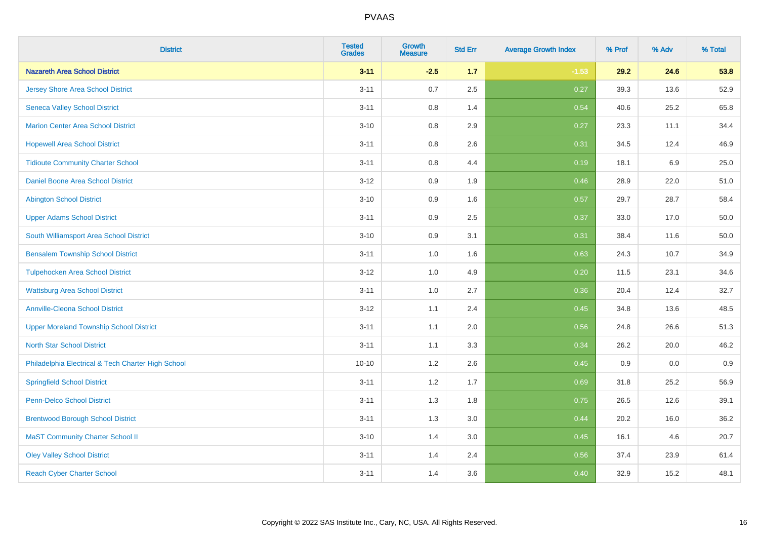| <b>District</b>                                    | <b>Tested</b><br><b>Grades</b> | <b>Growth</b><br><b>Measure</b> | <b>Std Err</b> | <b>Average Growth Index</b> | % Prof | % Adv | % Total |
|----------------------------------------------------|--------------------------------|---------------------------------|----------------|-----------------------------|--------|-------|---------|
| <b>Nazareth Area School District</b>               | $3 - 11$                       | $-2.5$                          | 1.7            | $-1.53$                     | 29.2   | 24.6  | 53.8    |
| <b>Jersey Shore Area School District</b>           | $3 - 11$                       | 0.7                             | 2.5            | 0.27                        | 39.3   | 13.6  | 52.9    |
| <b>Seneca Valley School District</b>               | $3 - 11$                       | 0.8                             | 1.4            | 0.54                        | 40.6   | 25.2  | 65.8    |
| <b>Marion Center Area School District</b>          | $3 - 10$                       | 0.8                             | 2.9            | 0.27                        | 23.3   | 11.1  | 34.4    |
| <b>Hopewell Area School District</b>               | $3 - 11$                       | 0.8                             | 2.6            | 0.31                        | 34.5   | 12.4  | 46.9    |
| <b>Tidioute Community Charter School</b>           | $3 - 11$                       | 0.8                             | 4.4            | 0.19                        | 18.1   | 6.9   | 25.0    |
| Daniel Boone Area School District                  | $3 - 12$                       | 0.9                             | 1.9            | 0.46                        | 28.9   | 22.0  | 51.0    |
| <b>Abington School District</b>                    | $3 - 10$                       | 0.9                             | 1.6            | 0.57                        | 29.7   | 28.7  | 58.4    |
| <b>Upper Adams School District</b>                 | $3 - 11$                       | 0.9                             | 2.5            | 0.37                        | 33.0   | 17.0  | 50.0    |
| South Williamsport Area School District            | $3 - 10$                       | 0.9                             | 3.1            | 0.31                        | 38.4   | 11.6  | 50.0    |
| <b>Bensalem Township School District</b>           | $3 - 11$                       | 1.0                             | 1.6            | 0.63                        | 24.3   | 10.7  | 34.9    |
| <b>Tulpehocken Area School District</b>            | $3 - 12$                       | 1.0                             | 4.9            | 0.20                        | 11.5   | 23.1  | 34.6    |
| <b>Wattsburg Area School District</b>              | $3 - 11$                       | 1.0                             | 2.7            | 0.36                        | 20.4   | 12.4  | 32.7    |
| <b>Annville-Cleona School District</b>             | $3 - 12$                       | 1.1                             | 2.4            | 0.45                        | 34.8   | 13.6  | 48.5    |
| <b>Upper Moreland Township School District</b>     | $3 - 11$                       | 1.1                             | 2.0            | 0.56                        | 24.8   | 26.6  | 51.3    |
| <b>North Star School District</b>                  | $3 - 11$                       | 1.1                             | 3.3            | 0.34                        | 26.2   | 20.0  | 46.2    |
| Philadelphia Electrical & Tech Charter High School | $10 - 10$                      | $1.2\,$                         | 2.6            | 0.45                        | 0.9    | 0.0   | 0.9     |
| <b>Springfield School District</b>                 | $3 - 11$                       | 1.2                             | 1.7            | 0.69                        | 31.8   | 25.2  | 56.9    |
| <b>Penn-Delco School District</b>                  | $3 - 11$                       | 1.3                             | 1.8            | 0.75                        | 26.5   | 12.6  | 39.1    |
| <b>Brentwood Borough School District</b>           | $3 - 11$                       | 1.3                             | 3.0            | 0.44                        | 20.2   | 16.0  | 36.2    |
| <b>MaST Community Charter School II</b>            | $3 - 10$                       | 1.4                             | 3.0            | 0.45                        | 16.1   | 4.6   | 20.7    |
| <b>Oley Valley School District</b>                 | $3 - 11$                       | 1.4                             | 2.4            | 0.56                        | 37.4   | 23.9  | 61.4    |
| <b>Reach Cyber Charter School</b>                  | $3 - 11$                       | 1.4                             | 3.6            | 0.40                        | 32.9   | 15.2  | 48.1    |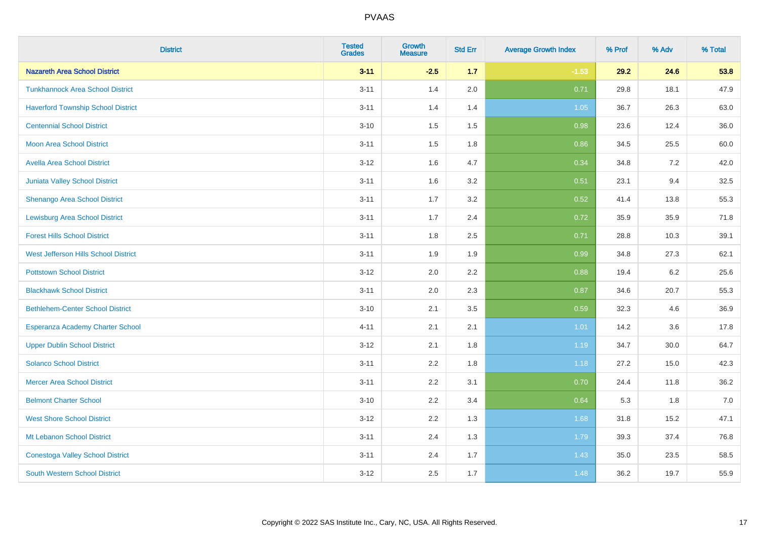| <b>District</b>                           | <b>Tested</b><br><b>Grades</b> | <b>Growth</b><br><b>Measure</b> | <b>Std Err</b> | <b>Average Growth Index</b> | % Prof | % Adv | % Total |
|-------------------------------------------|--------------------------------|---------------------------------|----------------|-----------------------------|--------|-------|---------|
| <b>Nazareth Area School District</b>      | $3 - 11$                       | $-2.5$                          | 1.7            | $-1.53$                     | 29.2   | 24.6  | 53.8    |
| <b>Tunkhannock Area School District</b>   | $3 - 11$                       | 1.4                             | 2.0            | 0.71                        | 29.8   | 18.1  | 47.9    |
| <b>Haverford Township School District</b> | $3 - 11$                       | 1.4                             | 1.4            | 1.05                        | 36.7   | 26.3  | 63.0    |
| <b>Centennial School District</b>         | $3 - 10$                       | 1.5                             | 1.5            | 0.98                        | 23.6   | 12.4  | 36.0    |
| <b>Moon Area School District</b>          | $3 - 11$                       | 1.5                             | 1.8            | 0.86                        | 34.5   | 25.5  | 60.0    |
| <b>Avella Area School District</b>        | $3 - 12$                       | 1.6                             | 4.7            | 0.34                        | 34.8   | 7.2   | 42.0    |
| Juniata Valley School District            | $3 - 11$                       | 1.6                             | 3.2            | 0.51                        | 23.1   | 9.4   | 32.5    |
| <b>Shenango Area School District</b>      | $3 - 11$                       | 1.7                             | 3.2            | 0.52                        | 41.4   | 13.8  | 55.3    |
| <b>Lewisburg Area School District</b>     | $3 - 11$                       | 1.7                             | 2.4            | 0.72                        | 35.9   | 35.9  | 71.8    |
| <b>Forest Hills School District</b>       | $3 - 11$                       | 1.8                             | 2.5            | 0.71                        | 28.8   | 10.3  | 39.1    |
| West Jefferson Hills School District      | $3 - 11$                       | 1.9                             | 1.9            | 0.99                        | 34.8   | 27.3  | 62.1    |
| <b>Pottstown School District</b>          | $3 - 12$                       | 2.0                             | 2.2            | 0.88                        | 19.4   | 6.2   | 25.6    |
| <b>Blackhawk School District</b>          | $3 - 11$                       | 2.0                             | 2.3            | 0.87                        | 34.6   | 20.7  | 55.3    |
| <b>Bethlehem-Center School District</b>   | $3 - 10$                       | 2.1                             | 3.5            | 0.59                        | 32.3   | 4.6   | 36.9    |
| Esperanza Academy Charter School          | $4 - 11$                       | 2.1                             | 2.1            | 1.01                        | 14.2   | 3.6   | 17.8    |
| <b>Upper Dublin School District</b>       | $3 - 12$                       | 2.1                             | 1.8            | 1.19                        | 34.7   | 30.0  | 64.7    |
| <b>Solanco School District</b>            | $3 - 11$                       | 2.2                             | 1.8            | 1.18                        | 27.2   | 15.0  | 42.3    |
| <b>Mercer Area School District</b>        | $3 - 11$                       | 2.2                             | 3.1            | 0.70                        | 24.4   | 11.8  | 36.2    |
| <b>Belmont Charter School</b>             | $3 - 10$                       | 2.2                             | 3.4            | 0.64                        | 5.3    | 1.8   | $7.0$   |
| <b>West Shore School District</b>         | $3 - 12$                       | 2.2                             | 1.3            | 1.68                        | 31.8   | 15.2  | 47.1    |
| Mt Lebanon School District                | $3 - 11$                       | 2.4                             | 1.3            | 1.79                        | 39.3   | 37.4  | 76.8    |
| <b>Conestoga Valley School District</b>   | $3 - 11$                       | 2.4                             | 1.7            | 1.43                        | 35.0   | 23.5  | 58.5    |
| <b>South Western School District</b>      | $3 - 12$                       | 2.5                             | 1.7            | 1.48                        | 36.2   | 19.7  | 55.9    |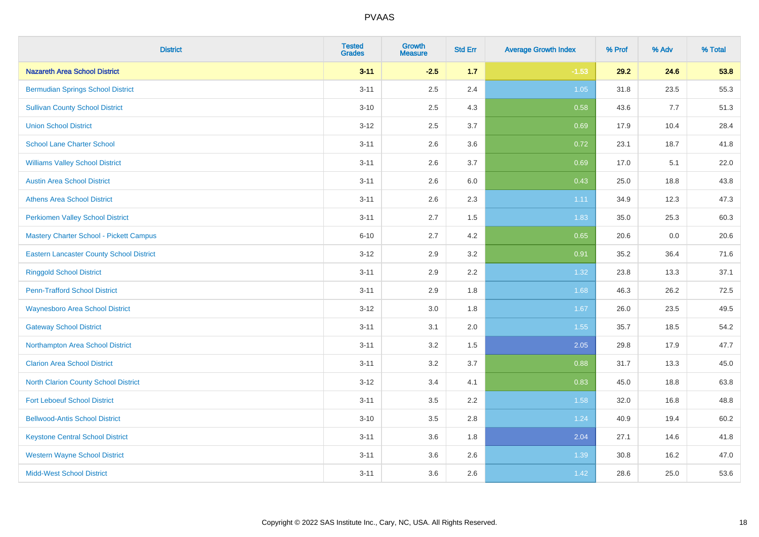| <b>District</b>                                 | <b>Tested</b><br><b>Grades</b> | <b>Growth</b><br><b>Measure</b> | <b>Std Err</b> | <b>Average Growth Index</b> | % Prof | % Adv | % Total |
|-------------------------------------------------|--------------------------------|---------------------------------|----------------|-----------------------------|--------|-------|---------|
| <b>Nazareth Area School District</b>            | $3 - 11$                       | $-2.5$                          | 1.7            | $-1.53$                     | 29.2   | 24.6  | 53.8    |
| <b>Bermudian Springs School District</b>        | $3 - 11$                       | 2.5                             | 2.4            | 1.05                        | 31.8   | 23.5  | 55.3    |
| <b>Sullivan County School District</b>          | $3 - 10$                       | 2.5                             | 4.3            | 0.58                        | 43.6   | 7.7   | 51.3    |
| <b>Union School District</b>                    | $3 - 12$                       | 2.5                             | 3.7            | 0.69                        | 17.9   | 10.4  | 28.4    |
| <b>School Lane Charter School</b>               | $3 - 11$                       | 2.6                             | 3.6            | 0.72                        | 23.1   | 18.7  | 41.8    |
| <b>Williams Valley School District</b>          | $3 - 11$                       | 2.6                             | 3.7            | 0.69                        | 17.0   | 5.1   | 22.0    |
| <b>Austin Area School District</b>              | $3 - 11$                       | 2.6                             | 6.0            | 0.43                        | 25.0   | 18.8  | 43.8    |
| <b>Athens Area School District</b>              | $3 - 11$                       | 2.6                             | 2.3            | 1.11                        | 34.9   | 12.3  | 47.3    |
| <b>Perkiomen Valley School District</b>         | $3 - 11$                       | 2.7                             | 1.5            | 1.83                        | 35.0   | 25.3  | 60.3    |
| Mastery Charter School - Pickett Campus         | $6 - 10$                       | 2.7                             | 4.2            | 0.65                        | 20.6   | 0.0   | 20.6    |
| <b>Eastern Lancaster County School District</b> | $3 - 12$                       | 2.9                             | 3.2            | 0.91                        | 35.2   | 36.4  | 71.6    |
| <b>Ringgold School District</b>                 | $3 - 11$                       | 2.9                             | 2.2            | 1.32                        | 23.8   | 13.3  | 37.1    |
| <b>Penn-Trafford School District</b>            | $3 - 11$                       | 2.9                             | 1.8            | 1.68                        | 46.3   | 26.2  | 72.5    |
| <b>Waynesboro Area School District</b>          | $3 - 12$                       | 3.0                             | 1.8            | 1.67                        | 26.0   | 23.5  | 49.5    |
| <b>Gateway School District</b>                  | $3 - 11$                       | 3.1                             | 2.0            | 1.55                        | 35.7   | 18.5  | 54.2    |
| Northampton Area School District                | $3 - 11$                       | 3.2                             | 1.5            | 2.05                        | 29.8   | 17.9  | 47.7    |
| <b>Clarion Area School District</b>             | $3 - 11$                       | 3.2                             | 3.7            | 0.88                        | 31.7   | 13.3  | 45.0    |
| North Clarion County School District            | $3 - 12$                       | 3.4                             | 4.1            | 0.83                        | 45.0   | 18.8  | 63.8    |
| <b>Fort Leboeuf School District</b>             | $3 - 11$                       | 3.5                             | 2.2            | 1.58                        | 32.0   | 16.8  | 48.8    |
| <b>Bellwood-Antis School District</b>           | $3 - 10$                       | 3.5                             | 2.8            | 1.24                        | 40.9   | 19.4  | 60.2    |
| <b>Keystone Central School District</b>         | $3 - 11$                       | 3.6                             | 1.8            | 2.04                        | 27.1   | 14.6  | 41.8    |
| <b>Western Wayne School District</b>            | $3 - 11$                       | 3.6                             | 2.6            | 1.39                        | 30.8   | 16.2  | 47.0    |
| <b>Midd-West School District</b>                | $3 - 11$                       | 3.6                             | 2.6            | 1.42                        | 28.6   | 25.0  | 53.6    |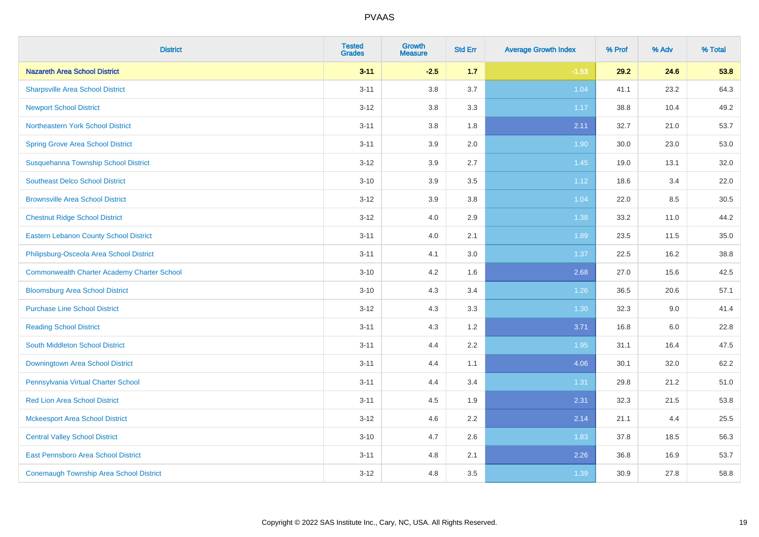| <b>District</b>                                    | <b>Tested</b><br><b>Grades</b> | Growth<br><b>Measure</b> | <b>Std Err</b> | <b>Average Growth Index</b> | % Prof | % Adv   | % Total |
|----------------------------------------------------|--------------------------------|--------------------------|----------------|-----------------------------|--------|---------|---------|
| <b>Nazareth Area School District</b>               | $3 - 11$                       | $-2.5$                   | 1.7            | $-1.53$                     | 29.2   | 24.6    | 53.8    |
| <b>Sharpsville Area School District</b>            | $3 - 11$                       | $3.8\,$                  | 3.7            | 1.04                        | 41.1   | 23.2    | 64.3    |
| <b>Newport School District</b>                     | $3 - 12$                       | 3.8                      | 3.3            | 1.17                        | 38.8   | 10.4    | 49.2    |
| Northeastern York School District                  | $3 - 11$                       | 3.8                      | 1.8            | 2.11                        | 32.7   | 21.0    | 53.7    |
| <b>Spring Grove Area School District</b>           | $3 - 11$                       | 3.9                      | 2.0            | 1.90                        | 30.0   | 23.0    | 53.0    |
| Susquehanna Township School District               | $3 - 12$                       | 3.9                      | 2.7            | 1.45                        | 19.0   | 13.1    | 32.0    |
| <b>Southeast Delco School District</b>             | $3 - 10$                       | 3.9                      | 3.5            | 1.12                        | 18.6   | 3.4     | 22.0    |
| <b>Brownsville Area School District</b>            | $3-12$                         | 3.9                      | 3.8            | 1.04                        | 22.0   | 8.5     | 30.5    |
| <b>Chestnut Ridge School District</b>              | $3 - 12$                       | 4.0                      | 2.9            | 1.38                        | 33.2   | 11.0    | 44.2    |
| <b>Eastern Lebanon County School District</b>      | $3 - 11$                       | 4.0                      | 2.1            | 1.89                        | 23.5   | 11.5    | 35.0    |
| Philipsburg-Osceola Area School District           | $3 - 11$                       | 4.1                      | 3.0            | 1.37                        | 22.5   | 16.2    | 38.8    |
| <b>Commonwealth Charter Academy Charter School</b> | $3 - 10$                       | 4.2                      | 1.6            | 2.68                        | 27.0   | 15.6    | 42.5    |
| <b>Bloomsburg Area School District</b>             | $3 - 10$                       | 4.3                      | 3.4            | 1.26                        | 36.5   | 20.6    | 57.1    |
| <b>Purchase Line School District</b>               | $3 - 12$                       | 4.3                      | 3.3            | 1.30                        | 32.3   | 9.0     | 41.4    |
| <b>Reading School District</b>                     | $3 - 11$                       | 4.3                      | 1.2            | 3.71                        | 16.8   | $6.0\,$ | 22.8    |
| South Middleton School District                    | $3 - 11$                       | 4.4                      | 2.2            | 1.95                        | 31.1   | 16.4    | 47.5    |
| Downingtown Area School District                   | $3 - 11$                       | 4.4                      | 1.1            | 4.06                        | 30.1   | 32.0    | 62.2    |
| Pennsylvania Virtual Charter School                | $3 - 11$                       | 4.4                      | 3.4            | 1.31                        | 29.8   | 21.2    | 51.0    |
| <b>Red Lion Area School District</b>               | $3 - 11$                       | 4.5                      | 1.9            | 2.31                        | 32.3   | 21.5    | 53.8    |
| <b>Mckeesport Area School District</b>             | $3-12$                         | 4.6                      | 2.2            | 2.14                        | 21.1   | 4.4     | 25.5    |
| <b>Central Valley School District</b>              | $3 - 10$                       | 4.7                      | 2.6            | 1.83                        | 37.8   | 18.5    | 56.3    |
| <b>East Pennsboro Area School District</b>         | $3 - 11$                       | 4.8                      | 2.1            | 2.26                        | 36.8   | 16.9    | 53.7    |
| <b>Conemaugh Township Area School District</b>     | $3-12$                         | 4.8                      | 3.5            | 1.39                        | 30.9   | 27.8    | 58.8    |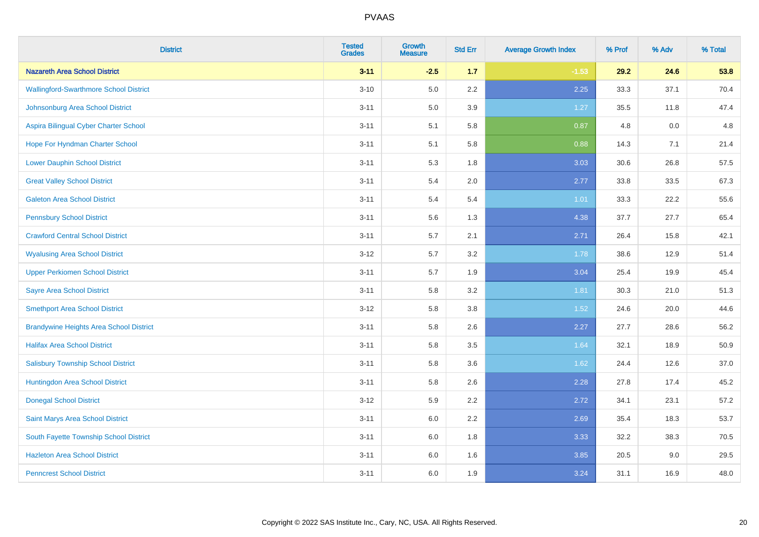| <b>District</b>                                | <b>Tested</b><br><b>Grades</b> | <b>Growth</b><br><b>Measure</b> | <b>Std Err</b> | <b>Average Growth Index</b> | % Prof | % Adv | % Total |
|------------------------------------------------|--------------------------------|---------------------------------|----------------|-----------------------------|--------|-------|---------|
| <b>Nazareth Area School District</b>           | $3 - 11$                       | $-2.5$                          | $1.7$          | $-1.53$                     | 29.2   | 24.6  | 53.8    |
| <b>Wallingford-Swarthmore School District</b>  | $3 - 10$                       | 5.0                             | $2.2\,$        | 2.25                        | 33.3   | 37.1  | 70.4    |
| Johnsonburg Area School District               | $3 - 11$                       | 5.0                             | 3.9            | 1.27                        | 35.5   | 11.8  | 47.4    |
| Aspira Bilingual Cyber Charter School          | $3 - 11$                       | 5.1                             | 5.8            | 0.87                        | 4.8    | 0.0   | 4.8     |
| Hope For Hyndman Charter School                | $3 - 11$                       | 5.1                             | 5.8            | 0.88                        | 14.3   | 7.1   | 21.4    |
| <b>Lower Dauphin School District</b>           | $3 - 11$                       | 5.3                             | 1.8            | 3.03                        | 30.6   | 26.8  | 57.5    |
| <b>Great Valley School District</b>            | $3 - 11$                       | 5.4                             | 2.0            | 2.77                        | 33.8   | 33.5  | 67.3    |
| <b>Galeton Area School District</b>            | $3 - 11$                       | 5.4                             | 5.4            | 1.01                        | 33.3   | 22.2  | 55.6    |
| <b>Pennsbury School District</b>               | $3 - 11$                       | 5.6                             | 1.3            | 4.38                        | 37.7   | 27.7  | 65.4    |
| <b>Crawford Central School District</b>        | $3 - 11$                       | 5.7                             | 2.1            | 2.71                        | 26.4   | 15.8  | 42.1    |
| <b>Wyalusing Area School District</b>          | $3 - 12$                       | 5.7                             | 3.2            | 1.78                        | 38.6   | 12.9  | 51.4    |
| <b>Upper Perkiomen School District</b>         | $3 - 11$                       | 5.7                             | 1.9            | 3.04                        | 25.4   | 19.9  | 45.4    |
| <b>Sayre Area School District</b>              | $3 - 11$                       | 5.8                             | 3.2            | 1.81                        | 30.3   | 21.0  | 51.3    |
| <b>Smethport Area School District</b>          | $3 - 12$                       | 5.8                             | 3.8            | 1.52                        | 24.6   | 20.0  | 44.6    |
| <b>Brandywine Heights Area School District</b> | $3 - 11$                       | 5.8                             | 2.6            | 2.27                        | 27.7   | 28.6  | 56.2    |
| <b>Halifax Area School District</b>            | $3 - 11$                       | 5.8                             | 3.5            | 1.64                        | 32.1   | 18.9  | 50.9    |
| <b>Salisbury Township School District</b>      | $3 - 11$                       | 5.8                             | 3.6            | 1.62                        | 24.4   | 12.6  | 37.0    |
| Huntingdon Area School District                | $3 - 11$                       | 5.8                             | 2.6            | 2.28                        | 27.8   | 17.4  | 45.2    |
| <b>Donegal School District</b>                 | $3-12$                         | 5.9                             | 2.2            | 2.72                        | 34.1   | 23.1  | 57.2    |
| Saint Marys Area School District               | $3 - 11$                       | 6.0                             | 2.2            | 2.69                        | 35.4   | 18.3  | 53.7    |
| South Fayette Township School District         | $3 - 11$                       | 6.0                             | 1.8            | 3.33                        | 32.2   | 38.3  | 70.5    |
| <b>Hazleton Area School District</b>           | $3 - 11$                       | 6.0                             | 1.6            | 3.85                        | 20.5   | 9.0   | 29.5    |
| <b>Penncrest School District</b>               | $3 - 11$                       | 6.0                             | 1.9            | 3.24                        | 31.1   | 16.9  | 48.0    |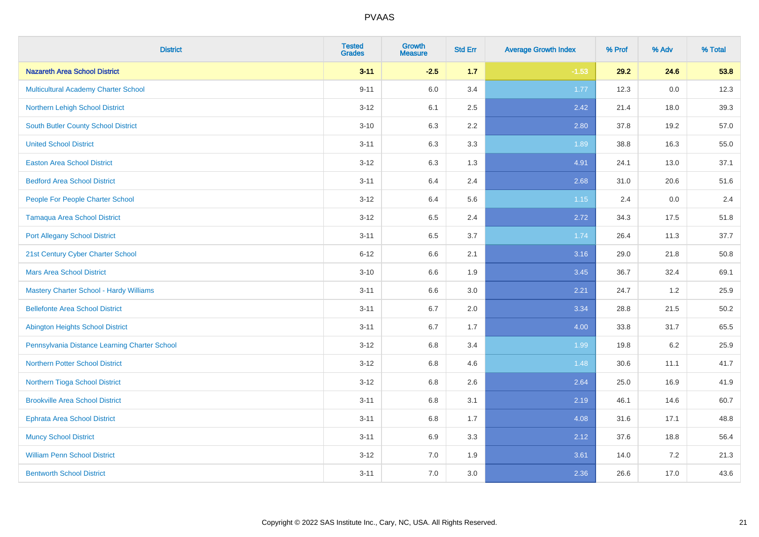| <b>District</b>                                | <b>Tested</b><br><b>Grades</b> | <b>Growth</b><br><b>Measure</b> | <b>Std Err</b> | <b>Average Growth Index</b> | % Prof | % Adv | % Total |
|------------------------------------------------|--------------------------------|---------------------------------|----------------|-----------------------------|--------|-------|---------|
| <b>Nazareth Area School District</b>           | $3 - 11$                       | $-2.5$                          | 1.7            | $-1.53$                     | 29.2   | 24.6  | 53.8    |
| <b>Multicultural Academy Charter School</b>    | $9 - 11$                       | 6.0                             | 3.4            | 1.77                        | 12.3   | 0.0   | 12.3    |
| Northern Lehigh School District                | $3 - 12$                       | 6.1                             | 2.5            | 2.42                        | 21.4   | 18.0  | 39.3    |
| <b>South Butler County School District</b>     | $3 - 10$                       | 6.3                             | 2.2            | 2.80                        | 37.8   | 19.2  | 57.0    |
| <b>United School District</b>                  | $3 - 11$                       | 6.3                             | 3.3            | 1.89                        | 38.8   | 16.3  | 55.0    |
| <b>Easton Area School District</b>             | $3 - 12$                       | 6.3                             | 1.3            | 4.91                        | 24.1   | 13.0  | 37.1    |
| <b>Bedford Area School District</b>            | $3 - 11$                       | 6.4                             | 2.4            | 2.68                        | 31.0   | 20.6  | 51.6    |
| People For People Charter School               | $3 - 12$                       | 6.4                             | 5.6            | 1.15                        | 2.4    | 0.0   | 2.4     |
| Tamaqua Area School District                   | $3 - 12$                       | 6.5                             | 2.4            | 2.72                        | 34.3   | 17.5  | 51.8    |
| <b>Port Allegany School District</b>           | $3 - 11$                       | 6.5                             | 3.7            | 1.74                        | 26.4   | 11.3  | 37.7    |
| 21st Century Cyber Charter School              | $6 - 12$                       | 6.6                             | 2.1            | 3.16                        | 29.0   | 21.8  | 50.8    |
| <b>Mars Area School District</b>               | $3 - 10$                       | 6.6                             | 1.9            | 3.45                        | 36.7   | 32.4  | 69.1    |
| <b>Mastery Charter School - Hardy Williams</b> | $3 - 11$                       | 6.6                             | 3.0            | 2.21                        | 24.7   | 1.2   | 25.9    |
| <b>Bellefonte Area School District</b>         | $3 - 11$                       | 6.7                             | 2.0            | 3.34                        | 28.8   | 21.5  | 50.2    |
| <b>Abington Heights School District</b>        | $3 - 11$                       | 6.7                             | 1.7            | 4.00                        | 33.8   | 31.7  | 65.5    |
| Pennsylvania Distance Learning Charter School  | $3 - 12$                       | 6.8                             | 3.4            | 1.99                        | 19.8   | 6.2   | 25.9    |
| <b>Northern Potter School District</b>         | $3 - 12$                       | 6.8                             | 4.6            | 1.48                        | 30.6   | 11.1  | 41.7    |
| Northern Tioga School District                 | $3 - 12$                       | 6.8                             | 2.6            | 2.64                        | 25.0   | 16.9  | 41.9    |
| <b>Brookville Area School District</b>         | $3 - 11$                       | 6.8                             | 3.1            | 2.19                        | 46.1   | 14.6  | 60.7    |
| <b>Ephrata Area School District</b>            | $3 - 11$                       | 6.8                             | 1.7            | 4.08                        | 31.6   | 17.1  | 48.8    |
| <b>Muncy School District</b>                   | $3 - 11$                       | 6.9                             | 3.3            | 2.12                        | 37.6   | 18.8  | 56.4    |
| <b>William Penn School District</b>            | $3 - 12$                       | 7.0                             | 1.9            | 3.61                        | 14.0   | 7.2   | 21.3    |
| <b>Bentworth School District</b>               | $3 - 11$                       | 7.0                             | 3.0            | 2.36                        | 26.6   | 17.0  | 43.6    |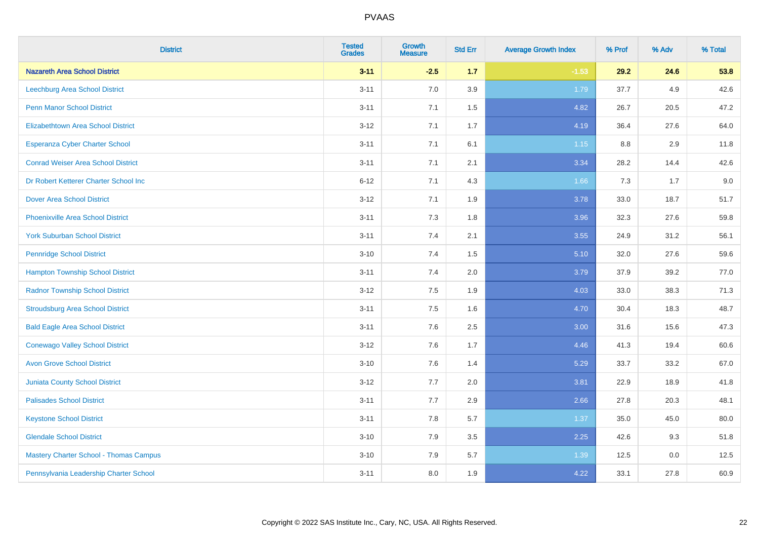| <b>District</b>                           | <b>Tested</b><br><b>Grades</b> | <b>Growth</b><br><b>Measure</b> | <b>Std Err</b> | <b>Average Growth Index</b> | % Prof | % Adv | % Total |
|-------------------------------------------|--------------------------------|---------------------------------|----------------|-----------------------------|--------|-------|---------|
| <b>Nazareth Area School District</b>      | $3 - 11$                       | $-2.5$                          | 1.7            | $-1.53$                     | 29.2   | 24.6  | 53.8    |
| Leechburg Area School District            | $3 - 11$                       | 7.0                             | 3.9            | 1.79                        | 37.7   | 4.9   | 42.6    |
| <b>Penn Manor School District</b>         | $3 - 11$                       | 7.1                             | 1.5            | 4.82                        | 26.7   | 20.5  | 47.2    |
| <b>Elizabethtown Area School District</b> | $3 - 12$                       | 7.1                             | 1.7            | 4.19                        | 36.4   | 27.6  | 64.0    |
| <b>Esperanza Cyber Charter School</b>     | $3 - 11$                       | 7.1                             | 6.1            | 1.15                        | 8.8    | 2.9   | 11.8    |
| <b>Conrad Weiser Area School District</b> | $3 - 11$                       | 7.1                             | 2.1            | 3.34                        | 28.2   | 14.4  | 42.6    |
| Dr Robert Ketterer Charter School Inc     | $6 - 12$                       | 7.1                             | 4.3            | 1.66                        | 7.3    | 1.7   | 9.0     |
| <b>Dover Area School District</b>         | $3 - 12$                       | 7.1                             | 1.9            | 3.78                        | 33.0   | 18.7  | 51.7    |
| <b>Phoenixville Area School District</b>  | $3 - 11$                       | 7.3                             | 1.8            | 3.96                        | 32.3   | 27.6  | 59.8    |
| <b>York Suburban School District</b>      | $3 - 11$                       | 7.4                             | 2.1            | 3.55                        | 24.9   | 31.2  | 56.1    |
| <b>Pennridge School District</b>          | $3 - 10$                       | 7.4                             | 1.5            | 5.10                        | 32.0   | 27.6  | 59.6    |
| <b>Hampton Township School District</b>   | $3 - 11$                       | 7.4                             | 2.0            | 3.79                        | 37.9   | 39.2  | 77.0    |
| <b>Radnor Township School District</b>    | $3-12$                         | 7.5                             | 1.9            | 4.03                        | 33.0   | 38.3  | 71.3    |
| <b>Stroudsburg Area School District</b>   | $3 - 11$                       | 7.5                             | 1.6            | 4.70                        | 30.4   | 18.3  | 48.7    |
| <b>Bald Eagle Area School District</b>    | $3 - 11$                       | 7.6                             | 2.5            | 3.00                        | 31.6   | 15.6  | 47.3    |
| <b>Conewago Valley School District</b>    | $3 - 12$                       | 7.6                             | 1.7            | 4.46                        | 41.3   | 19.4  | 60.6    |
| <b>Avon Grove School District</b>         | $3 - 10$                       | 7.6                             | 1.4            | 5.29                        | 33.7   | 33.2  | 67.0    |
| <b>Juniata County School District</b>     | $3-12$                         | 7.7                             | 2.0            | 3.81                        | 22.9   | 18.9  | 41.8    |
| <b>Palisades School District</b>          | $3 - 11$                       | 7.7                             | 2.9            | 2.66                        | 27.8   | 20.3  | 48.1    |
| <b>Keystone School District</b>           | $3 - 11$                       | 7.8                             | 5.7            | 1.37                        | 35.0   | 45.0  | 80.0    |
| <b>Glendale School District</b>           | $3 - 10$                       | 7.9                             | 3.5            | 2.25                        | 42.6   | 9.3   | 51.8    |
| Mastery Charter School - Thomas Campus    | $3 - 10$                       | 7.9                             | 5.7            | 1.39                        | 12.5   | 0.0   | 12.5    |
| Pennsylvania Leadership Charter School    | $3 - 11$                       | $8.0\,$                         | 1.9            | 4.22                        | 33.1   | 27.8  | 60.9    |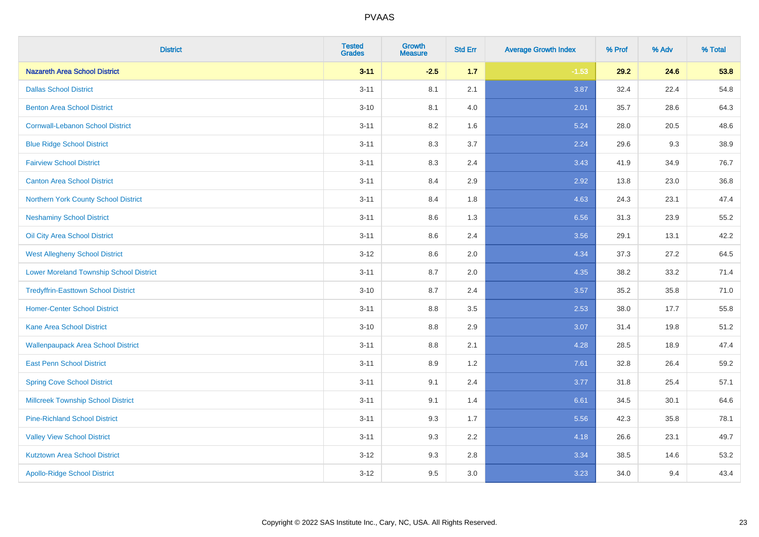| <b>District</b>                                | <b>Tested</b><br><b>Grades</b> | <b>Growth</b><br><b>Measure</b> | <b>Std Err</b> | <b>Average Growth Index</b> | % Prof | % Adv | % Total |
|------------------------------------------------|--------------------------------|---------------------------------|----------------|-----------------------------|--------|-------|---------|
| <b>Nazareth Area School District</b>           | $3 - 11$                       | $-2.5$                          | $1.7$          | $-1.53$                     | 29.2   | 24.6  | 53.8    |
| <b>Dallas School District</b>                  | $3 - 11$                       | 8.1                             | 2.1            | 3.87                        | 32.4   | 22.4  | 54.8    |
| <b>Benton Area School District</b>             | $3 - 10$                       | 8.1                             | 4.0            | 2.01                        | 35.7   | 28.6  | 64.3    |
| <b>Cornwall-Lebanon School District</b>        | $3 - 11$                       | 8.2                             | 1.6            | 5.24                        | 28.0   | 20.5  | 48.6    |
| <b>Blue Ridge School District</b>              | $3 - 11$                       | 8.3                             | 3.7            | 2.24                        | 29.6   | 9.3   | 38.9    |
| <b>Fairview School District</b>                | $3 - 11$                       | 8.3                             | 2.4            | 3.43                        | 41.9   | 34.9  | 76.7    |
| <b>Canton Area School District</b>             | $3 - 11$                       | 8.4                             | 2.9            | 2.92                        | 13.8   | 23.0  | 36.8    |
| Northern York County School District           | $3 - 11$                       | 8.4                             | 1.8            | 4.63                        | 24.3   | 23.1  | 47.4    |
| <b>Neshaminy School District</b>               | $3 - 11$                       | 8.6                             | 1.3            | 6.56                        | 31.3   | 23.9  | 55.2    |
| Oil City Area School District                  | $3 - 11$                       | 8.6                             | 2.4            | 3.56                        | 29.1   | 13.1  | 42.2    |
| <b>West Allegheny School District</b>          | $3-12$                         | 8.6                             | 2.0            | 4.34                        | 37.3   | 27.2  | 64.5    |
| <b>Lower Moreland Township School District</b> | $3 - 11$                       | 8.7                             | 2.0            | 4.35                        | 38.2   | 33.2  | 71.4    |
| <b>Tredyffrin-Easttown School District</b>     | $3 - 10$                       | 8.7                             | 2.4            | 3.57                        | 35.2   | 35.8  | 71.0    |
| <b>Homer-Center School District</b>            | $3 - 11$                       | 8.8                             | 3.5            | 2.53                        | 38.0   | 17.7  | 55.8    |
| Kane Area School District                      | $3 - 10$                       | 8.8                             | 2.9            | 3.07                        | 31.4   | 19.8  | 51.2    |
| <b>Wallenpaupack Area School District</b>      | $3 - 11$                       | 8.8                             | 2.1            | 4.28                        | 28.5   | 18.9  | 47.4    |
| <b>East Penn School District</b>               | $3 - 11$                       | 8.9                             | 1.2            | 7.61                        | 32.8   | 26.4  | 59.2    |
| <b>Spring Cove School District</b>             | $3 - 11$                       | 9.1                             | 2.4            | 3.77                        | 31.8   | 25.4  | 57.1    |
| <b>Millcreek Township School District</b>      | $3 - 11$                       | 9.1                             | 1.4            | 6.61                        | 34.5   | 30.1  | 64.6    |
| <b>Pine-Richland School District</b>           | $3 - 11$                       | 9.3                             | 1.7            | 5.56                        | 42.3   | 35.8  | 78.1    |
| <b>Valley View School District</b>             | $3 - 11$                       | 9.3                             | 2.2            | 4.18                        | 26.6   | 23.1  | 49.7    |
| <b>Kutztown Area School District</b>           | $3-12$                         | 9.3                             | 2.8            | 3.34                        | 38.5   | 14.6  | 53.2    |
| <b>Apollo-Ridge School District</b>            | $3 - 12$                       | 9.5                             | 3.0            | 3.23                        | 34.0   | 9.4   | 43.4    |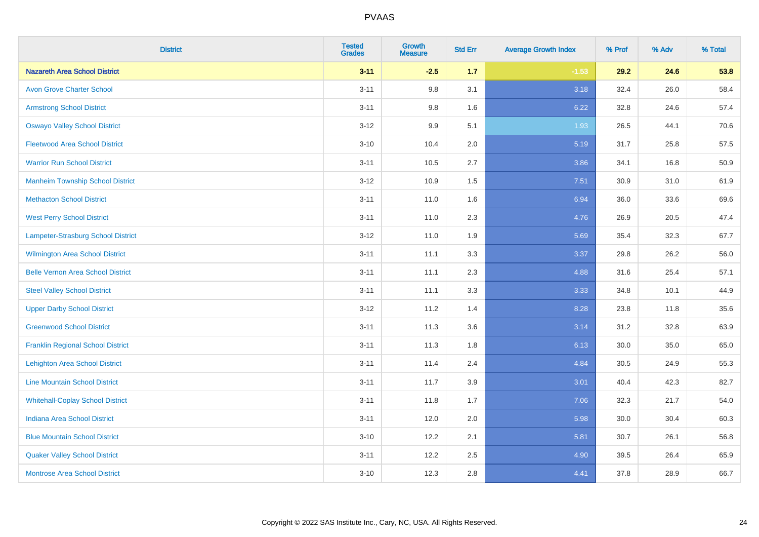| <b>District</b>                          | <b>Tested</b><br><b>Grades</b> | <b>Growth</b><br><b>Measure</b> | <b>Std Err</b> | <b>Average Growth Index</b> | % Prof | % Adv | % Total |
|------------------------------------------|--------------------------------|---------------------------------|----------------|-----------------------------|--------|-------|---------|
| <b>Nazareth Area School District</b>     | $3 - 11$                       | $-2.5$                          | 1.7            | $-1.53$                     | 29.2   | 24.6  | 53.8    |
| <b>Avon Grove Charter School</b>         | $3 - 11$                       | 9.8                             | 3.1            | 3.18                        | 32.4   | 26.0  | 58.4    |
| <b>Armstrong School District</b>         | $3 - 11$                       | 9.8                             | 1.6            | 6.22                        | 32.8   | 24.6  | 57.4    |
| <b>Oswayo Valley School District</b>     | $3 - 12$                       | 9.9                             | 5.1            | 1.93                        | 26.5   | 44.1  | 70.6    |
| <b>Fleetwood Area School District</b>    | $3 - 10$                       | 10.4                            | 2.0            | 5.19                        | 31.7   | 25.8  | 57.5    |
| <b>Warrior Run School District</b>       | $3 - 11$                       | 10.5                            | 2.7            | 3.86                        | 34.1   | 16.8  | 50.9    |
| <b>Manheim Township School District</b>  | $3-12$                         | 10.9                            | 1.5            | 7.51                        | 30.9   | 31.0  | 61.9    |
| <b>Methacton School District</b>         | $3 - 11$                       | 11.0                            | 1.6            | 6.94                        | 36.0   | 33.6  | 69.6    |
| <b>West Perry School District</b>        | $3 - 11$                       | 11.0                            | 2.3            | 4.76                        | 26.9   | 20.5  | 47.4    |
| Lampeter-Strasburg School District       | $3 - 12$                       | 11.0                            | 1.9            | 5.69                        | 35.4   | 32.3  | 67.7    |
| <b>Wilmington Area School District</b>   | $3 - 11$                       | 11.1                            | 3.3            | 3.37                        | 29.8   | 26.2  | 56.0    |
| <b>Belle Vernon Area School District</b> | $3 - 11$                       | 11.1                            | 2.3            | 4.88                        | 31.6   | 25.4  | 57.1    |
| <b>Steel Valley School District</b>      | $3 - 11$                       | 11.1                            | 3.3            | 3.33                        | 34.8   | 10.1  | 44.9    |
| <b>Upper Darby School District</b>       | $3 - 12$                       | 11.2                            | 1.4            | 8.28                        | 23.8   | 11.8  | 35.6    |
| <b>Greenwood School District</b>         | $3 - 11$                       | 11.3                            | 3.6            | 3.14                        | 31.2   | 32.8  | 63.9    |
| <b>Franklin Regional School District</b> | $3 - 11$                       | 11.3                            | 1.8            | 6.13                        | 30.0   | 35.0  | 65.0    |
| <b>Lehighton Area School District</b>    | $3 - 11$                       | 11.4                            | 2.4            | 4.84                        | 30.5   | 24.9  | 55.3    |
| <b>Line Mountain School District</b>     | $3 - 11$                       | 11.7                            | 3.9            | 3.01                        | 40.4   | 42.3  | 82.7    |
| <b>Whitehall-Coplay School District</b>  | $3 - 11$                       | 11.8                            | 1.7            | 7.06                        | 32.3   | 21.7  | 54.0    |
| <b>Indiana Area School District</b>      | $3 - 11$                       | 12.0                            | 2.0            | 5.98                        | 30.0   | 30.4  | 60.3    |
| <b>Blue Mountain School District</b>     | $3 - 10$                       | 12.2                            | 2.1            | 5.81                        | 30.7   | 26.1  | 56.8    |
| <b>Quaker Valley School District</b>     | $3 - 11$                       | 12.2                            | 2.5            | 4.90                        | 39.5   | 26.4  | 65.9    |
| <b>Montrose Area School District</b>     | $3 - 10$                       | 12.3                            | 2.8            | 4.41                        | 37.8   | 28.9  | 66.7    |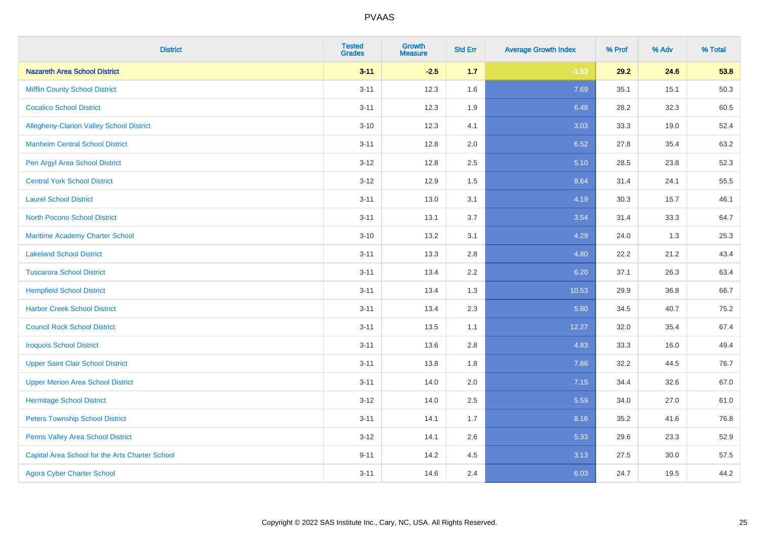| <b>District</b>                                 | <b>Tested</b><br><b>Grades</b> | <b>Growth</b><br><b>Measure</b> | <b>Std Err</b> | <b>Average Growth Index</b> | % Prof | % Adv | % Total |
|-------------------------------------------------|--------------------------------|---------------------------------|----------------|-----------------------------|--------|-------|---------|
| <b>Nazareth Area School District</b>            | $3 - 11$                       | $-2.5$                          | 1.7            | $-1.53$                     | 29.2   | 24.6  | 53.8    |
| <b>Mifflin County School District</b>           | $3 - 11$                       | 12.3                            | 1.6            | 7.69                        | 35.1   | 15.1  | 50.3    |
| <b>Cocalico School District</b>                 | $3 - 11$                       | 12.3                            | 1.9            | 6.48                        | 28.2   | 32.3  | 60.5    |
| Allegheny-Clarion Valley School District        | $3 - 10$                       | 12.3                            | 4.1            | 3.03                        | 33.3   | 19.0  | 52.4    |
| <b>Manheim Central School District</b>          | $3 - 11$                       | 12.8                            | 2.0            | 6.52                        | 27.8   | 35.4  | 63.2    |
| Pen Argyl Area School District                  | $3 - 12$                       | 12.8                            | 2.5            | 5.10                        | 28.5   | 23.8  | 52.3    |
| <b>Central York School District</b>             | $3 - 12$                       | 12.9                            | 1.5            | 8.64                        | 31.4   | 24.1  | 55.5    |
| <b>Laurel School District</b>                   | $3 - 11$                       | 13.0                            | 3.1            | 4.19                        | 30.3   | 15.7  | 46.1    |
| <b>North Pocono School District</b>             | $3 - 11$                       | 13.1                            | 3.7            | 3.54                        | 31.4   | 33.3  | 64.7    |
| <b>Maritime Academy Charter School</b>          | $3 - 10$                       | 13.2                            | 3.1            | 4.29                        | 24.0   | 1.3   | 25.3    |
| <b>Lakeland School District</b>                 | $3 - 11$                       | 13.3                            | 2.8            | 4.80                        | 22.2   | 21.2  | 43.4    |
| <b>Tuscarora School District</b>                | $3 - 11$                       | 13.4                            | 2.2            | 6.20                        | 37.1   | 26.3  | 63.4    |
| <b>Hempfield School District</b>                | $3 - 11$                       | 13.4                            | 1.3            | 10.53                       | 29.9   | 36.8  | 66.7    |
| <b>Harbor Creek School District</b>             | $3 - 11$                       | 13.4                            | 2.3            | 5.80                        | 34.5   | 40.7  | 75.2    |
| <b>Council Rock School District</b>             | $3 - 11$                       | 13.5                            | 1.1            | 12.27                       | 32.0   | 35.4  | 67.4    |
| <b>Iroquois School District</b>                 | $3 - 11$                       | 13.6                            | 2.8            | 4.83                        | 33.3   | 16.0  | 49.4    |
| <b>Upper Saint Clair School District</b>        | $3 - 11$                       | 13.8                            | 1.8            | 7.86                        | 32.2   | 44.5  | 76.7    |
| <b>Upper Merion Area School District</b>        | $3 - 11$                       | 14.0                            | 2.0            | 7.15                        | 34.4   | 32.6  | 67.0    |
| <b>Hermitage School District</b>                | $3-12$                         | 14.0                            | 2.5            | 5.59                        | 34.0   | 27.0  | 61.0    |
| <b>Peters Township School District</b>          | $3 - 11$                       | 14.1                            | 1.7            | 8.16                        | 35.2   | 41.6  | 76.8    |
| Penns Valley Area School District               | $3 - 12$                       | 14.1                            | 2.6            | 5.33                        | 29.6   | 23.3  | 52.9    |
| Capital Area School for the Arts Charter School | $9 - 11$                       | 14.2                            | 4.5            | 3.13                        | 27.5   | 30.0  | 57.5    |
| <b>Agora Cyber Charter School</b>               | $3 - 11$                       | 14.6                            | 2.4            | 6.03                        | 24.7   | 19.5  | 44.2    |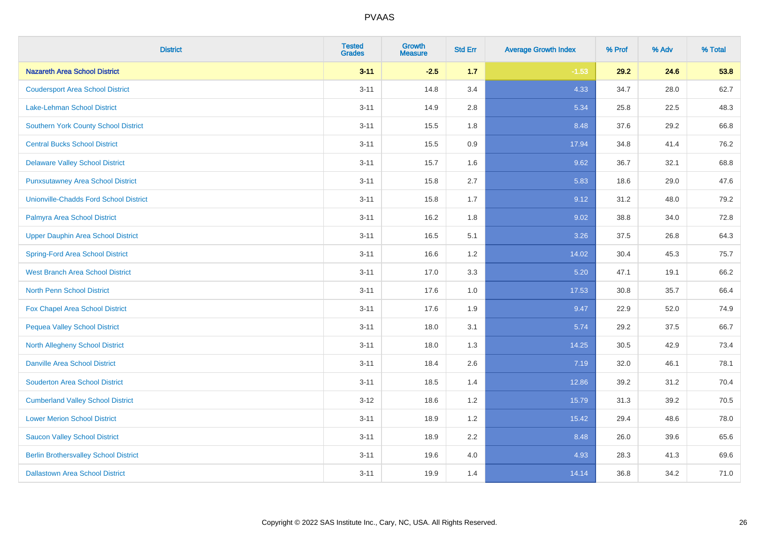| <b>District</b>                               | <b>Tested</b><br><b>Grades</b> | <b>Growth</b><br><b>Measure</b> | <b>Std Err</b> | <b>Average Growth Index</b> | % Prof | % Adv | % Total |
|-----------------------------------------------|--------------------------------|---------------------------------|----------------|-----------------------------|--------|-------|---------|
| <b>Nazareth Area School District</b>          | $3 - 11$                       | $-2.5$                          | 1.7            | $-1.53$                     | 29.2   | 24.6  | 53.8    |
| <b>Coudersport Area School District</b>       | $3 - 11$                       | 14.8                            | 3.4            | 4.33                        | 34.7   | 28.0  | 62.7    |
| <b>Lake-Lehman School District</b>            | $3 - 11$                       | 14.9                            | 2.8            | 5.34                        | 25.8   | 22.5  | 48.3    |
| <b>Southern York County School District</b>   | $3 - 11$                       | 15.5                            | 1.8            | 8.48                        | 37.6   | 29.2  | 66.8    |
| <b>Central Bucks School District</b>          | $3 - 11$                       | 15.5                            | 0.9            | 17.94                       | 34.8   | 41.4  | 76.2    |
| <b>Delaware Valley School District</b>        | $3 - 11$                       | 15.7                            | 1.6            | 9.62                        | 36.7   | 32.1  | 68.8    |
| <b>Punxsutawney Area School District</b>      | $3 - 11$                       | 15.8                            | 2.7            | 5.83                        | 18.6   | 29.0  | 47.6    |
| <b>Unionville-Chadds Ford School District</b> | $3 - 11$                       | 15.8                            | 1.7            | 9.12                        | 31.2   | 48.0  | 79.2    |
| Palmyra Area School District                  | $3 - 11$                       | 16.2                            | 1.8            | 9.02                        | 38.8   | 34.0  | 72.8    |
| <b>Upper Dauphin Area School District</b>     | $3 - 11$                       | 16.5                            | 5.1            | 3.26                        | 37.5   | 26.8  | 64.3    |
| <b>Spring-Ford Area School District</b>       | $3 - 11$                       | 16.6                            | 1.2            | 14.02                       | 30.4   | 45.3  | 75.7    |
| <b>West Branch Area School District</b>       | $3 - 11$                       | 17.0                            | 3.3            | 5.20                        | 47.1   | 19.1  | 66.2    |
| North Penn School District                    | $3 - 11$                       | 17.6                            | 1.0            | 17.53                       | 30.8   | 35.7  | 66.4    |
| Fox Chapel Area School District               | $3 - 11$                       | 17.6                            | 1.9            | 9.47                        | 22.9   | 52.0  | 74.9    |
| <b>Pequea Valley School District</b>          | $3 - 11$                       | 18.0                            | 3.1            | 5.74                        | 29.2   | 37.5  | 66.7    |
| North Allegheny School District               | $3 - 11$                       | 18.0                            | 1.3            | 14.25                       | 30.5   | 42.9  | 73.4    |
| <b>Danville Area School District</b>          | $3 - 11$                       | 18.4                            | 2.6            | 7.19                        | 32.0   | 46.1  | 78.1    |
| <b>Souderton Area School District</b>         | $3 - 11$                       | 18.5                            | 1.4            | 12.86                       | 39.2   | 31.2  | 70.4    |
| <b>Cumberland Valley School District</b>      | $3 - 12$                       | 18.6                            | 1.2            | 15.79                       | 31.3   | 39.2  | 70.5    |
| <b>Lower Merion School District</b>           | $3 - 11$                       | 18.9                            | 1.2            | 15.42                       | 29.4   | 48.6  | 78.0    |
| <b>Saucon Valley School District</b>          | $3 - 11$                       | 18.9                            | 2.2            | 8.48                        | 26.0   | 39.6  | 65.6    |
| <b>Berlin Brothersvalley School District</b>  | $3 - 11$                       | 19.6                            | 4.0            | 4.93                        | 28.3   | 41.3  | 69.6    |
| <b>Dallastown Area School District</b>        | $3 - 11$                       | 19.9                            | 1.4            | 14.14                       | 36.8   | 34.2  | 71.0    |